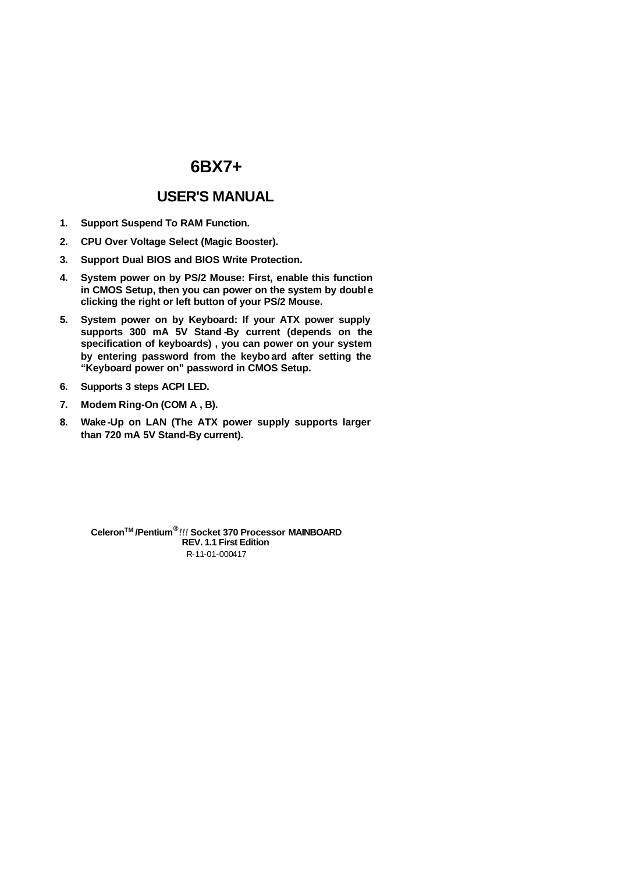# **USER'S MANUAL**

- **1. Support Suspend To RAM Function.**
- **2. CPU Over Voltage Select (Magic Booster).**
- **3. Support Dual BIOS and BIOS Write Protection.**
- **4. System power on by PS/2 Mouse: First, enable this function**  in CMOS Setup, then you can power on the system by double **clicking the right or left button of your PS/2 Mouse.**
- **5. System power on by Keyboard: If your ATX power supply**  supports 300 mA 5V Stand By current (depends on the **specification of keyboards) , you can power on your system by entering password from the keyboard after setting the "Keyboard power on" password in CMOS Setup.**
- **6. Supports 3 steps ACPI LED.**
- **7. Modem Ring-On (COM A , B).**
- **8. Wake-Up on LAN (The ATX power supply supports larger than 720 mA 5V Stand-By current).**

R-11-01-000417 **CeleronTM /Pentium®** *!!!* **Socket 370 Processor MAINBOARD REV. 1.1 First Edition**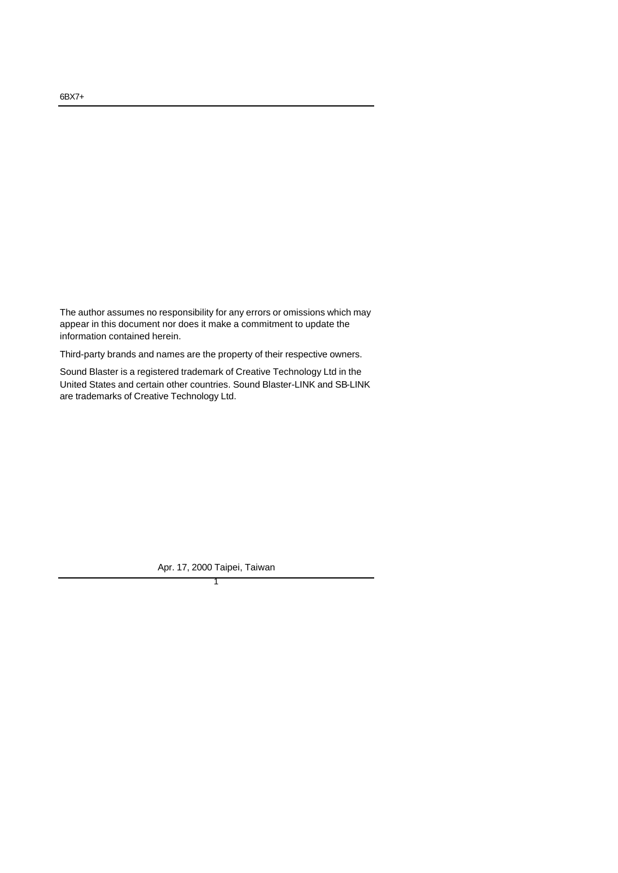The author assumes no responsibility for any errors or omissions which may appear in this document nor does it make a commitment to update the information contained herein.

Third-party brands and names are the property of their respective owners.

Sound Blaster is a registered trademark of Creative Technology Ltd in the United States and certain other countries. Sound Blaster-LINK and SB-LINK are trademarks of Creative Technology Ltd.

> 1 Apr. 17, 2000 Taipei, Taiwan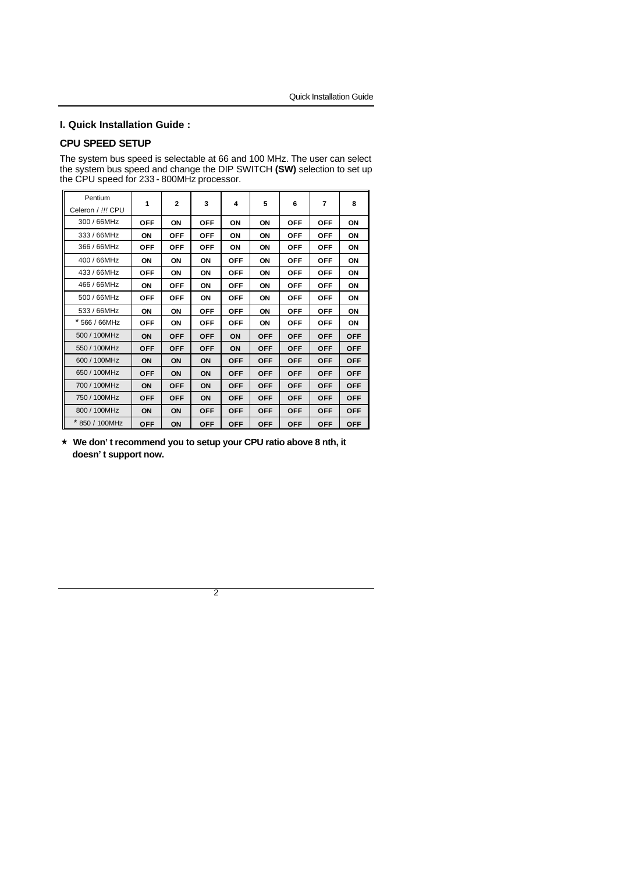## **I. Quick Installation Guide :**

## **CPU SPEED SETUP**

The system bus speed is selectable at 66 and 100 MHz. The user can select the system bus speed and change the DIP SWITCH **(SW)** selection to set up the CPU speed for 233 - 800MHz processor.

| Pentium           |            |              | 3          |            |            |            |            |            |
|-------------------|------------|--------------|------------|------------|------------|------------|------------|------------|
| Celeron / !!! CPU | 1          | $\mathbf{2}$ |            | 4          | 5          | 6          | 7          | 8          |
| 300 / 66MHz       | <b>OFF</b> | ON           | <b>OFF</b> | ΟN         | ON         | <b>OFF</b> | <b>OFF</b> | ON         |
| 333 / 66MHz       | ON         | <b>OFF</b>   | <b>OFF</b> | ON         | ON         | <b>OFF</b> | <b>OFF</b> | ON         |
| 366 / 66MHz       | <b>OFF</b> | <b>OFF</b>   | <b>OFF</b> | ΟN         | ΟN         | <b>OFF</b> | <b>OFF</b> | ΟN         |
| 400 / 66MHz       | ON         | ON           | ON         | <b>OFF</b> | ON         | <b>OFF</b> | <b>OFF</b> | ON         |
| 433 / 66MHz       | <b>OFF</b> | ON           | ON         | <b>OFF</b> | ON         | <b>OFF</b> | <b>OFF</b> | ON         |
| 466 / 66MHz       | ON         | <b>OFF</b>   | ON         | <b>OFF</b> | ON         | <b>OFF</b> | <b>OFF</b> | ON         |
| 500 / 66MHz       | <b>OFF</b> | <b>OFF</b>   | ΟN         | <b>OFF</b> | ON         | <b>OFF</b> | <b>OFF</b> | ON         |
| 533 / 66MHz       | ΟN         | ΟN           | <b>OFF</b> | <b>OFF</b> | ON         | <b>OFF</b> | <b>OFF</b> | ON         |
| * 566 / 66MHz     | <b>OFF</b> | ΟN           | OFF        | OFF        | ΟN         | OFF        | <b>OFF</b> | ΟN         |
| 500 / 100MHz      | ON         | <b>OFF</b>   | <b>OFF</b> | ON         | <b>OFF</b> | <b>OFF</b> | <b>OFF</b> | <b>OFF</b> |
| 550 / 100MHz      | <b>OFF</b> | <b>OFF</b>   | <b>OFF</b> | ON         | <b>OFF</b> | <b>OFF</b> | <b>OFF</b> | <b>OFF</b> |
| 600 / 100MHz      | ON         | ON           | ON         | <b>OFF</b> | <b>OFF</b> | <b>OFF</b> | <b>OFF</b> | <b>OFF</b> |
| 650 / 100MHz      | <b>OFF</b> | ΟN           | ON         | <b>OFF</b> | <b>OFF</b> | <b>OFF</b> | <b>OFF</b> | <b>OFF</b> |
| 700 / 100MHz      | ΟN         | <b>OFF</b>   | ON         | <b>OFF</b> | <b>OFF</b> | <b>OFF</b> | <b>OFF</b> | <b>OFF</b> |
| 750 / 100MHz      | <b>OFF</b> | <b>OFF</b>   | ON         | <b>OFF</b> | <b>OFF</b> | <b>OFF</b> | <b>OFF</b> | <b>OFF</b> |
| 800 / 100MHz      | ON         | ON           | <b>OFF</b> | <b>OFF</b> | <b>OFF</b> | <b>OFF</b> | <b>OFF</b> | <b>OFF</b> |
| * 850 / 100MHz    | <b>OFF</b> | ON           | <b>OFF</b> | <b>OFF</b> | <b>OFF</b> | <b>OFF</b> | <b>OFF</b> | <b>OFF</b> |

´ **We don't recommend you to setup your CPU ratio above 8 nth, it doesn't support now.**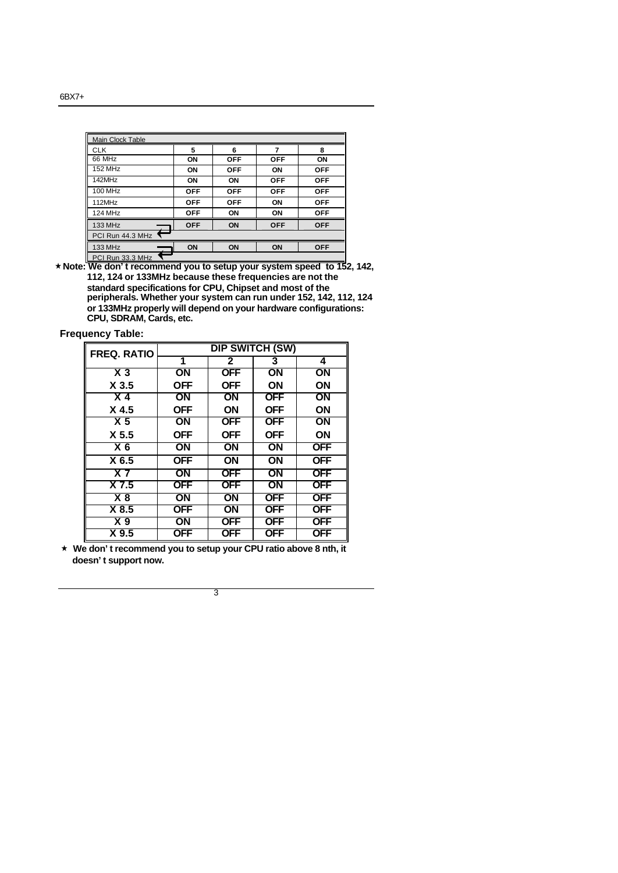| Main Clock Table |            |            |            |            |
|------------------|------------|------------|------------|------------|
| <b>CLK</b>       | 5          | 6          | 7          | 8          |
| 66 MHz           | ON         | <b>OFF</b> | <b>OFF</b> | ON         |
| 152 MHz          | ON         | <b>OFF</b> | ΟN         | <b>OFF</b> |
| 142MHz           | ON         | ON         | <b>OFF</b> | <b>OFF</b> |
| 100 MHz          | <b>OFF</b> | <b>OFF</b> | <b>OFF</b> | <b>OFF</b> |
| 112MHz           | <b>OFF</b> | <b>OFF</b> | ON         | <b>OFF</b> |
| 124 MHz          | <b>OFF</b> | ON         | ON         | <b>OFF</b> |
| 133 MHz          | <b>OFF</b> | ON         | <b>OFF</b> | <b>OFF</b> |
| PCI Run 44.3 MHz |            |            |            |            |
| 133 MHz          | ON         | ON         | ON         | <b>OFF</b> |
| PCI Run 33.3 MHz |            |            |            |            |

PCI Run 33.3 MHz ´**Note: We don't recommend you to setup your system speed to 152, 142, 112, 124 or 133MHz because these frequencies are not the standard specifications for CPU, Chipset and most of the peripherals. Whether your system can run under 152, 142, 112, 124 or 133MHz properly will depend on your hardware configurations: CPU, SDRAM, Cards, etc.**

| <b>Frequency Table:</b> |  |
|-------------------------|--|
|-------------------------|--|

| <b>FREQ. RATIO</b> |                 |                 | <b>DIP SWITCH (SW)</b> |                 |
|--------------------|-----------------|-----------------|------------------------|-----------------|
|                    | 1               | $\mathbf{2}$    | 3                      | 4               |
| $X_3$              | $\overline{ON}$ | <b>OFF</b>      | ΟN                     | ON              |
| X <sub>3.5</sub>   | <b>OFF</b>      | <b>OFF</b>      | ΟN                     | ON              |
| X <sub>4</sub>     | ON              | <b>ON</b>       | <b>OFF</b>             | ON              |
| X <sub>4.5</sub>   | <b>OFF</b>      | <b>ON</b>       | <b>OFF</b>             | <b>ON</b>       |
| X <sub>5</sub>     | $\overline{ON}$ | <b>OFF</b>      | <b>OFF</b>             | $\overline{ON}$ |
| X <sub>5.5</sub>   | <b>OFF</b>      | <b>OFF</b>      | <b>OFF</b>             | ON              |
| $X_6$              | ON              | $\overline{ON}$ | ΟN                     | <b>OFF</b>      |
| X 6.5              | <b>OFF</b>      | ON              | ΟN                     | <b>OFF</b>      |
| X <sub>7</sub>     | $\overline{ON}$ | <b>OFF</b>      | ΟN                     | <b>OFF</b>      |
| $X$ 7.5            | <b>OFF</b>      | <b>OFF</b>      | ON                     | <b>OFF</b>      |
| X8                 | ON              | ON              | <b>OFF</b>             | <b>OFF</b>      |
| X8.5               | <b>OFF</b>      | ON              | <b>OFF</b>             | <b>OFF</b>      |
| X <sub>9</sub>     | ON              | <b>OFF</b>      | <b>OFF</b>             | <b>OFF</b>      |
| X 9.5              | <b>OFF</b>      | <b>OFF</b>      | <b>OFF</b>             | <b>OFF</b>      |

´ **We don't recommend you to setup your CPU ratio above 8 nth, it doesn't support now.**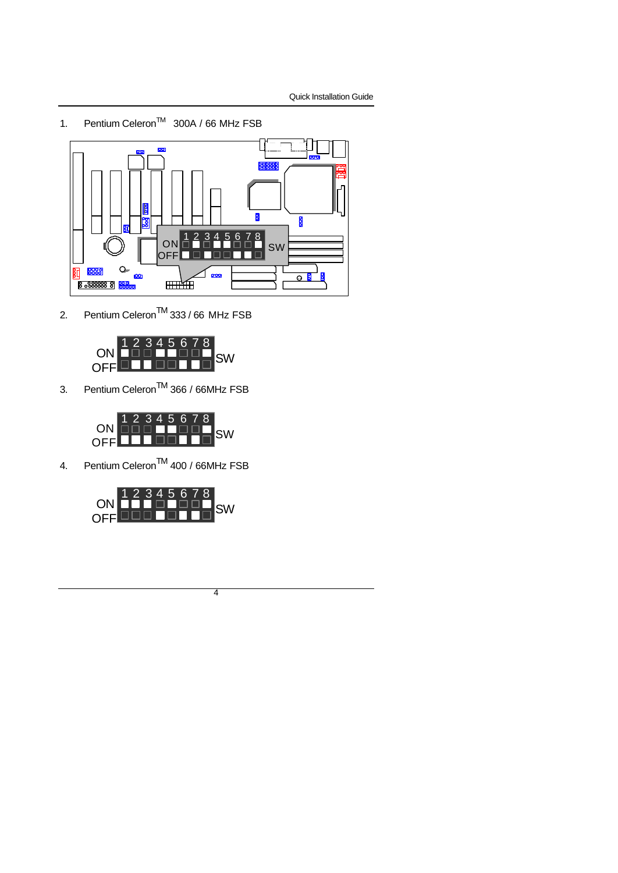1. Pentium Celeron<sup>™</sup> 300A / 66 MHz FSB



2. Pentium Celeron<sup>™</sup> 333 / 66 MHz FSB



3. Pentium Celeron<sup>TM</sup> 366 / 66MHz FSB



4. Pentium Celeron<sup>TM</sup> 400 / 66MHz FSB

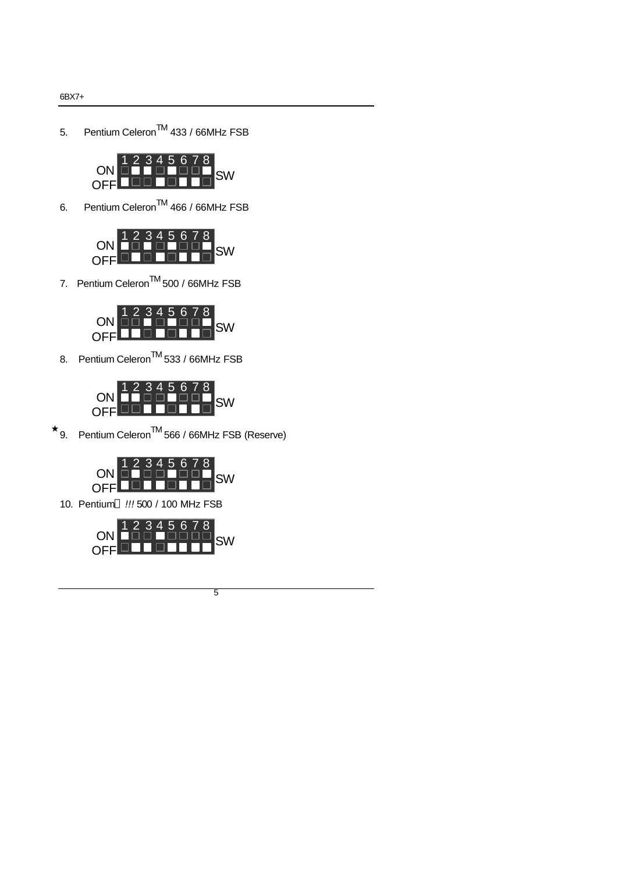5. Pentium Celeron<sup>TM</sup> 433 / 66MHz FSB



6. Pentium CeleronTM 466 / 66MHz FSB



7. Pentium Celeron<sup>TM</sup> 500 / 66MHz FSB



8. Pentium Celeron<sup>TM</sup> 533 / 66MHz FSB



 $\star$  9. Pentium Celeron<sup>TM</sup> 566 / 66MHz FSB (Reserve)



10. Pentium *!!!* 500 / 100 MHz FSB

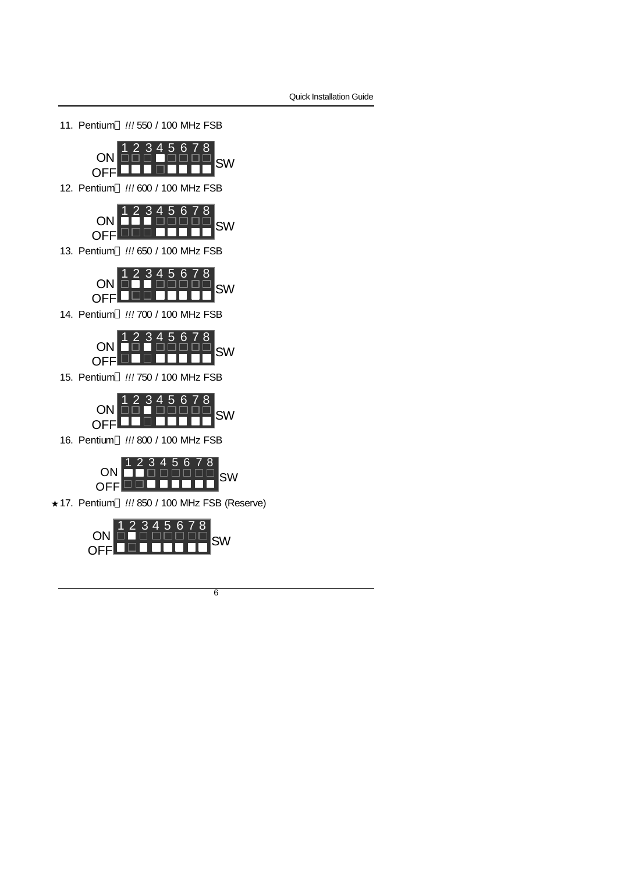11. Pentium<sup>®</sup> !!! 550 / 100 MHz FSB



12. Pentium *!!!* 600 / 100 MHz FSB



13. Pentium *!!!* 650 / 100 MHz FSB



14. Pentium *!!!* 700 / 100 MHz FSB



15. Pentium<sup>®</sup> !!! 750 / 100 MHz FSB



16. Pentium *!!!* 800 / 100 MHz FSB



★ 17. Pentium<sup>®</sup> !!! 850 / 100 MHz FSB (Reserve)



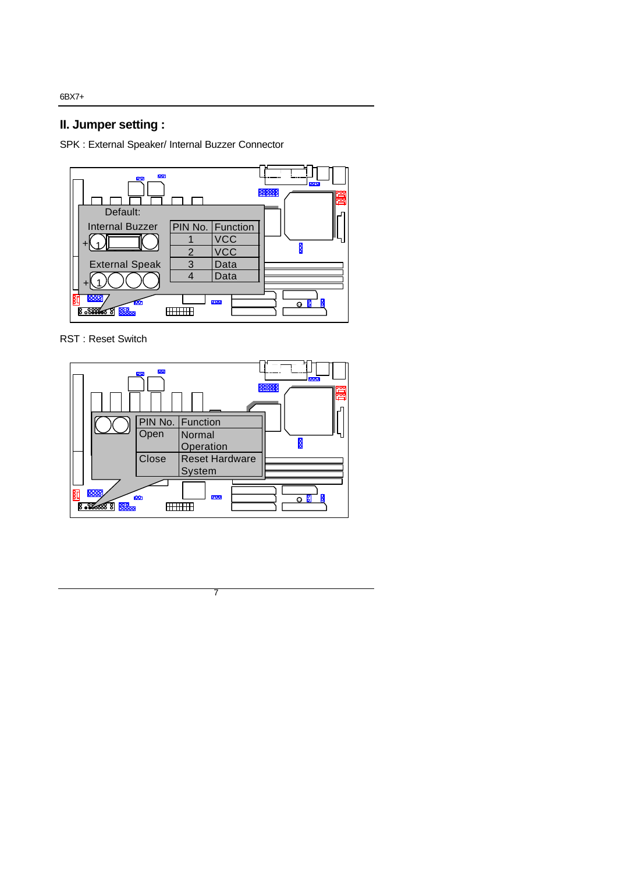# **II. Jumper setting :**

SPK : External Speaker/ Internal Buzzer Connector



RST : Reset Switch

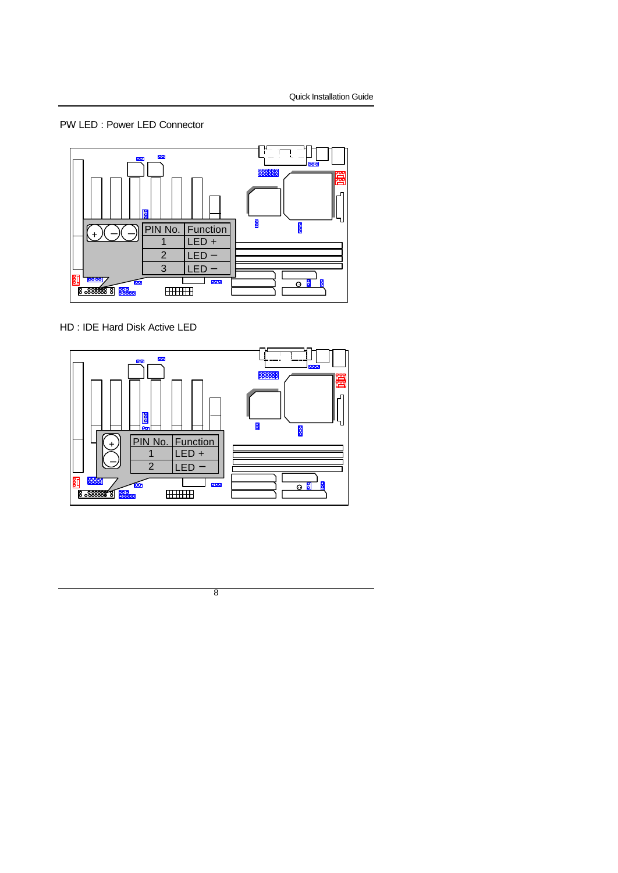## PW LED : Power LED Connector



HD : IDE Hard Disk Active LED

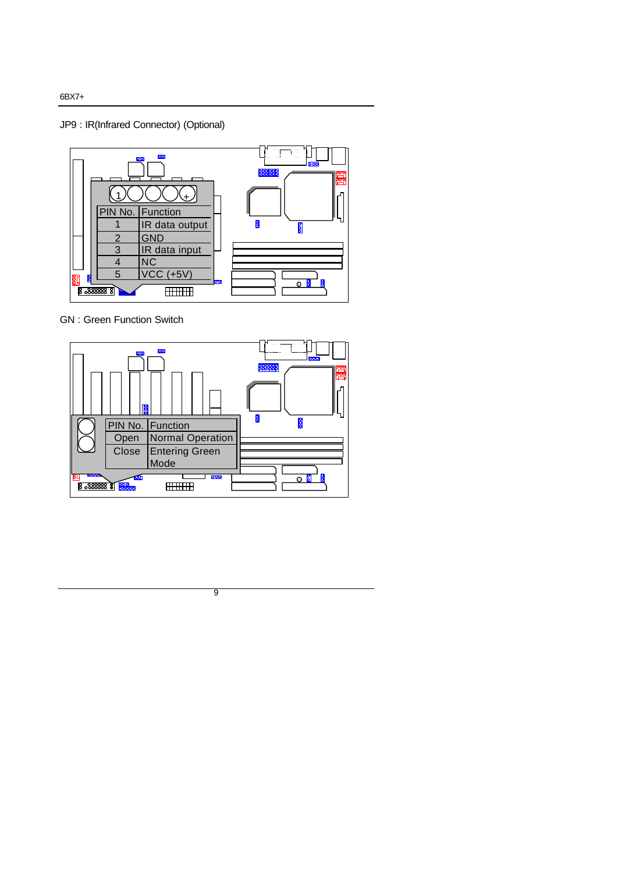JP9 : IR(Infrared Connector) (Optional)



GN : Green Function Switch



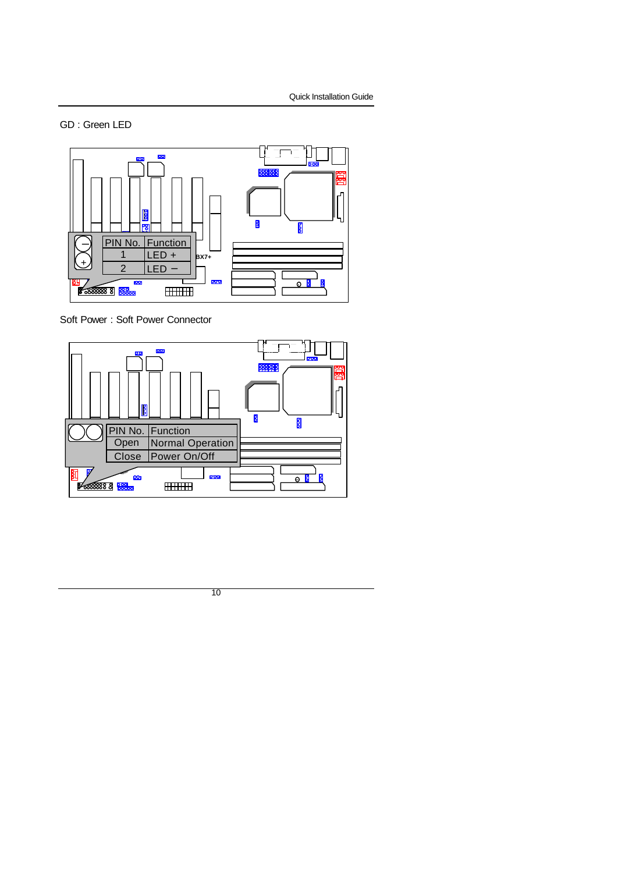## GD : Green LED



Soft Power : Soft Power Connector

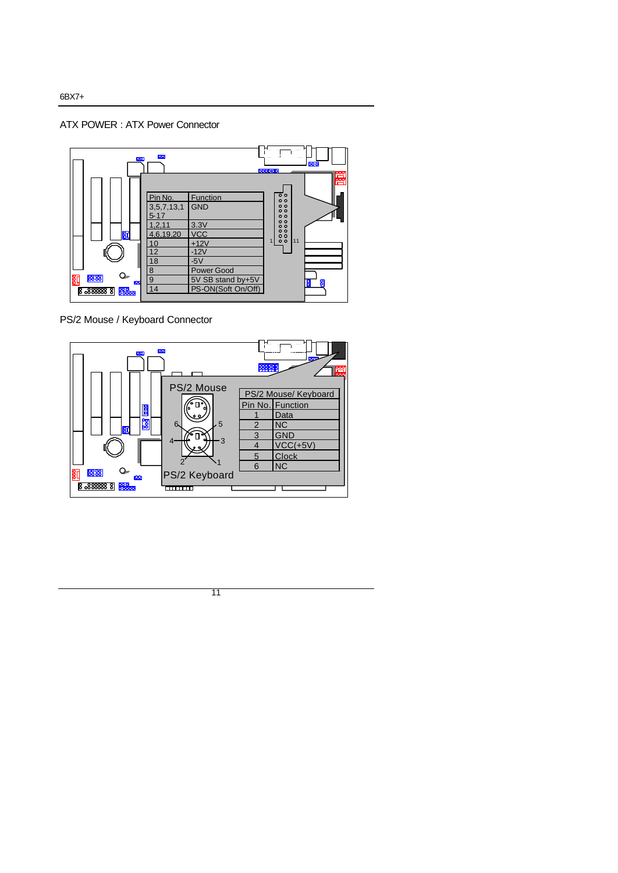### ATX POWER : ATX Power Connector



PS/2 Mouse / Keyboard Connector

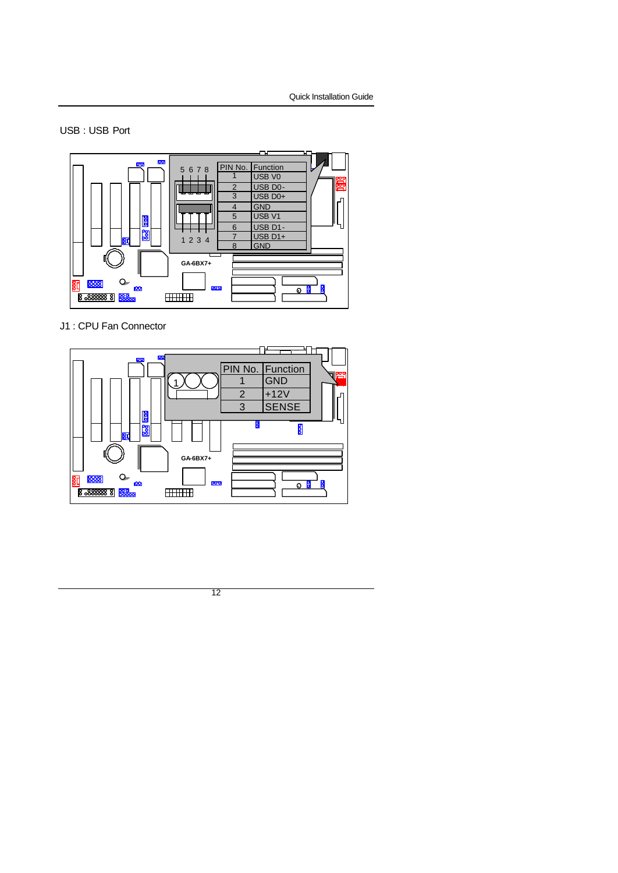## USB : USB Port



J1 : CPU Fan Connector

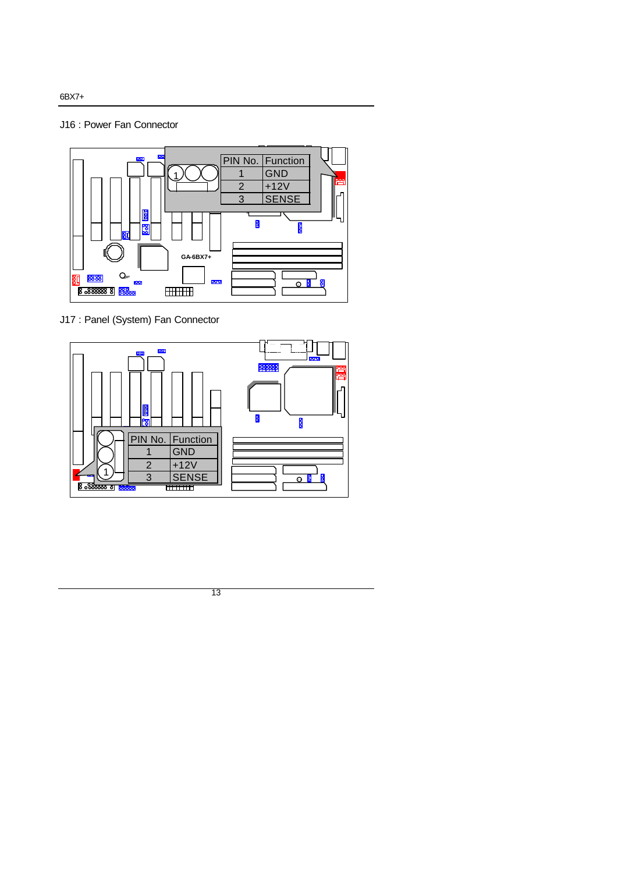## J16 : Power Fan Connector



J17 : Panel (System) Fan Connector



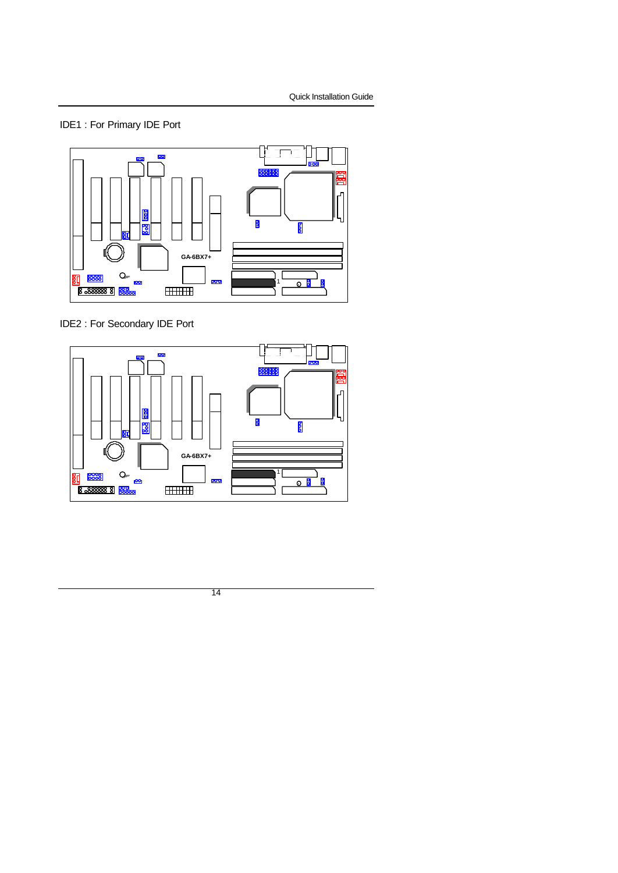# IDE1 : For Primary IDE Port



IDE2 : For Secondary IDE Port



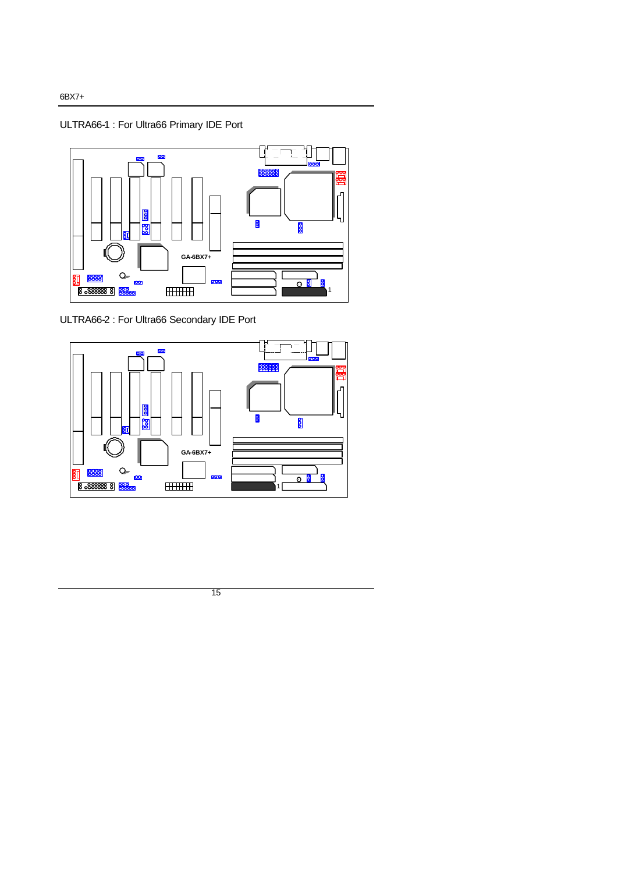ULTRA66-1 : For Ultra66 Primary IDE Port



ULTRA66-2 : For Ultra66 Secondary IDE Port



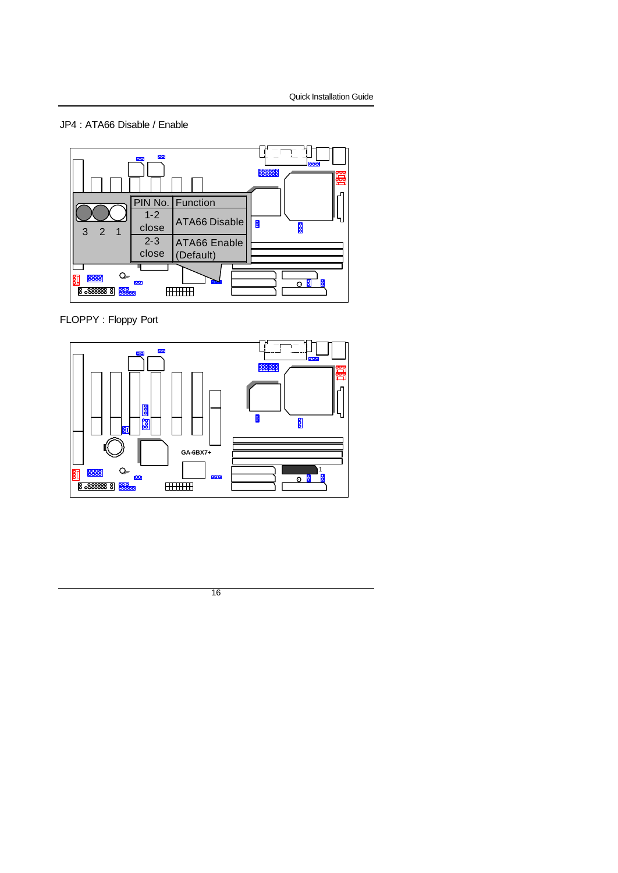## JP4 : ATA66 Disable / Enable



FLOPPY : Floppy Port



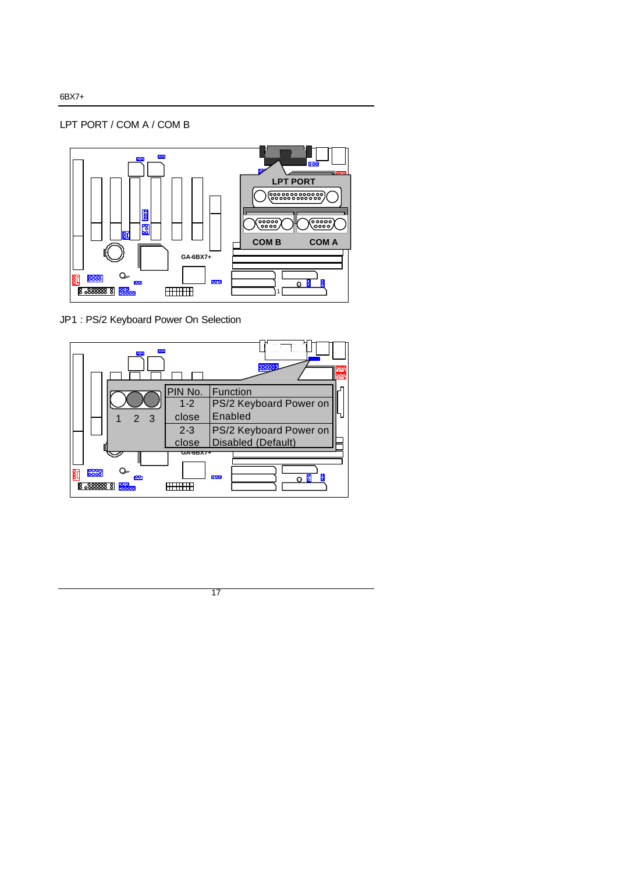## LPT PORT / COM A / COM B



JP1 : PS/2 Keyboard Power On Selection

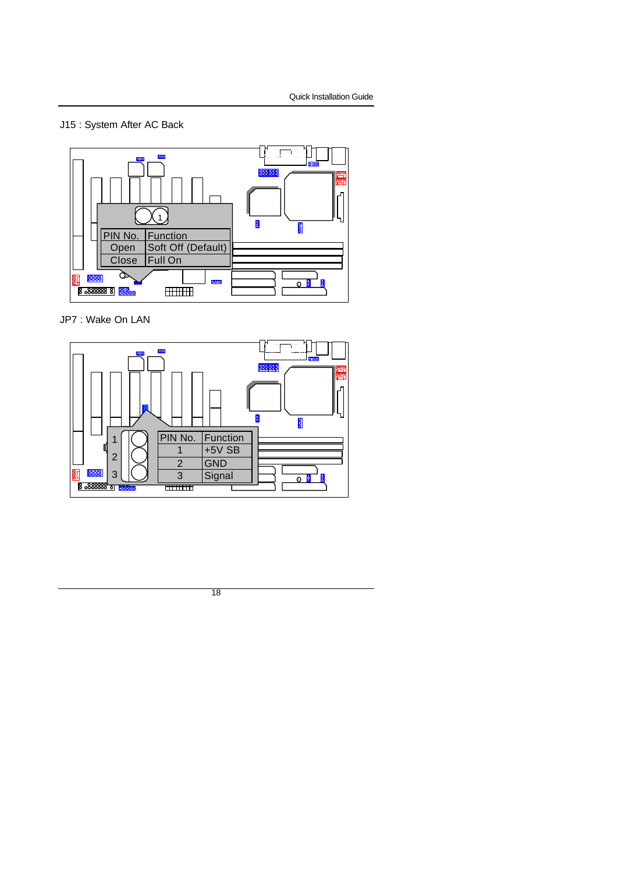# J15 : System After AC Back



JP7 : Wake On LAN

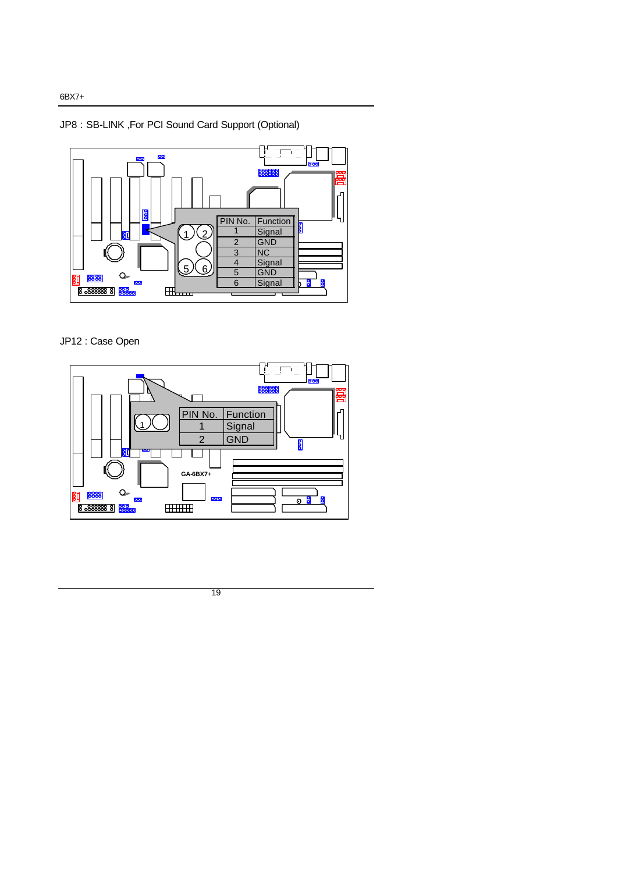# JP8 : SB-LINK ,For PCI Sound Card Support (Optional)



## JP12 : Case Open

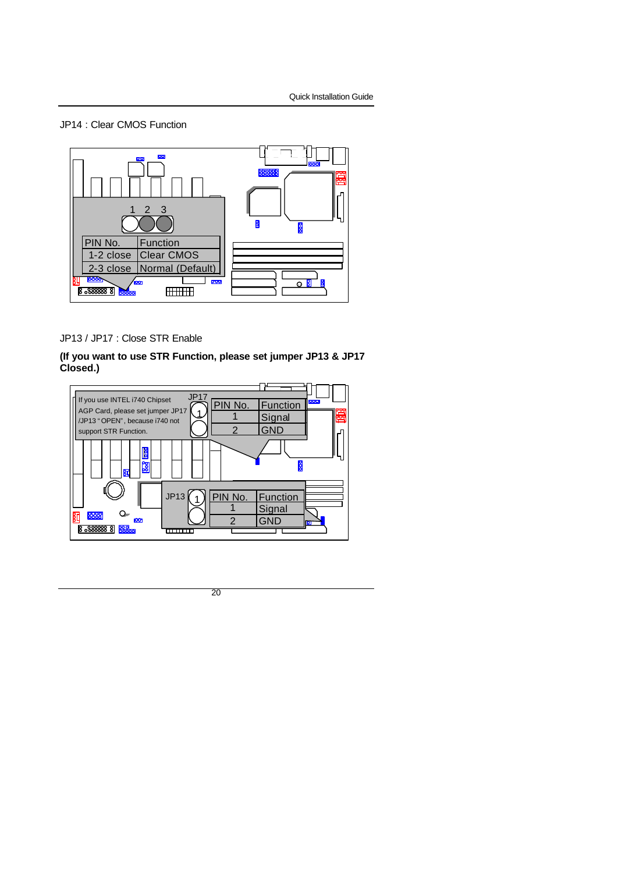### JP14 : Clear CMOS Function



## JP13 / JP17 : Close STR Enable

## **(If you want to use STR Function, please set jumper JP13 & JP17 Closed.)**

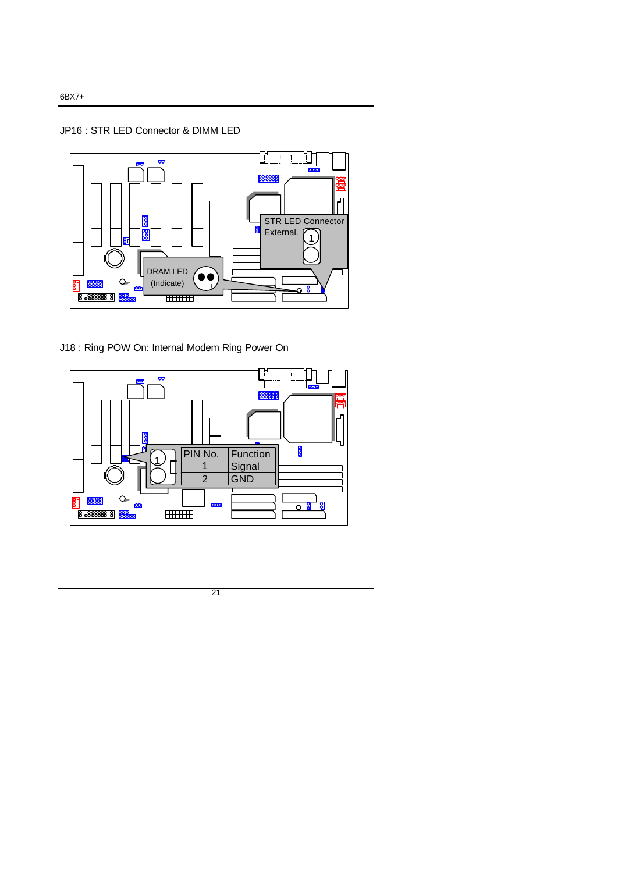## JP16 : STR LED Connector & DIMM LED



J18 : Ring POW On: Internal Modem Ring Power On

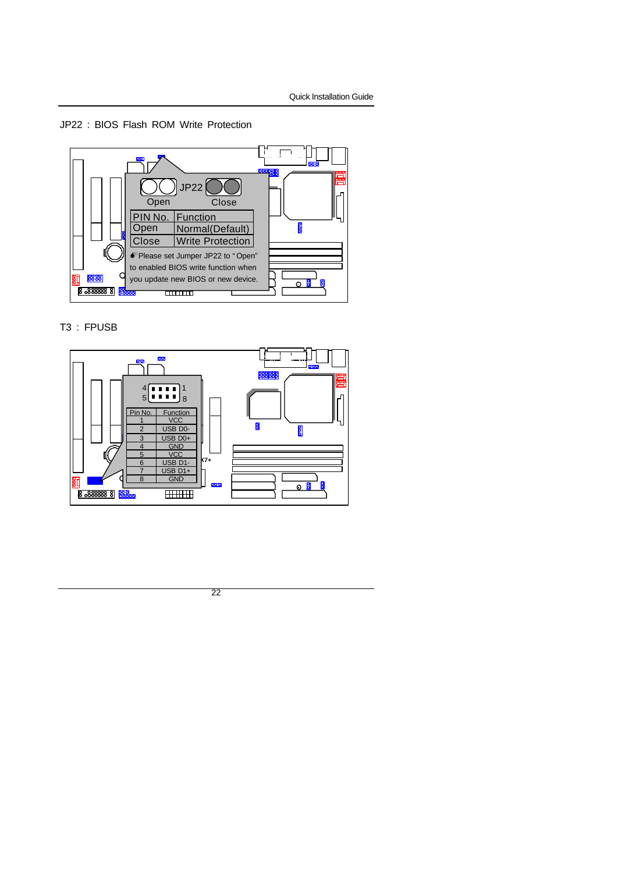### JP22 : BIOS Flash ROM Write Protection



## T3 : FPUSB

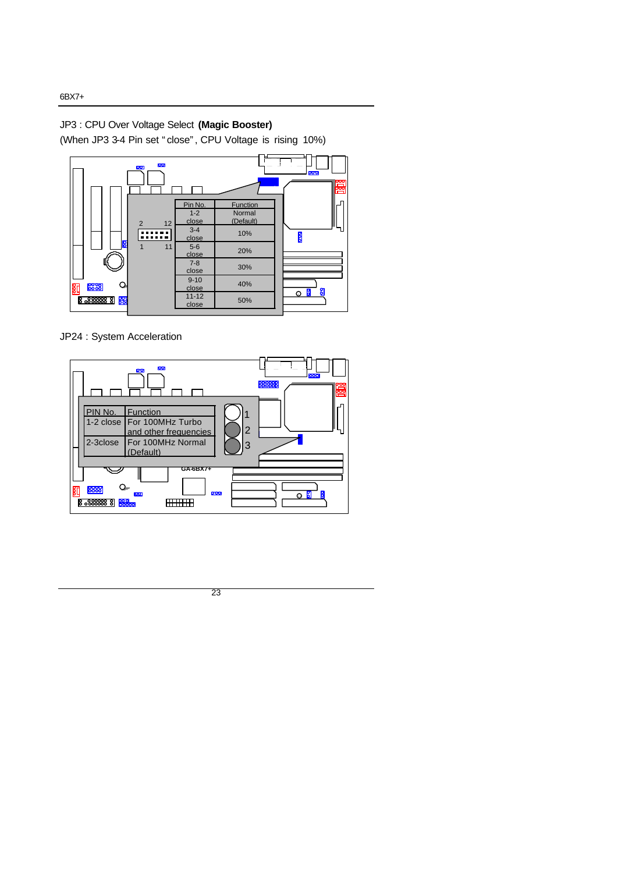# JP3 : CPU Over Voltage Select **(Magic Booster)**

(When JP3 3-4 Pin set "close", CPU Voltage is rising 10%)



JP24 : System Acceleration



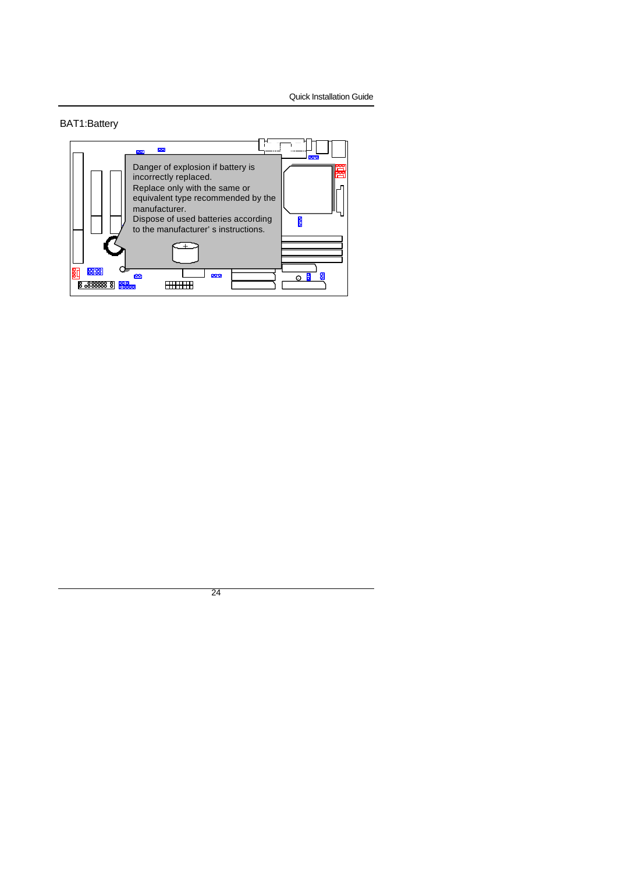Quick Installation Guide

## BAT1:Battery

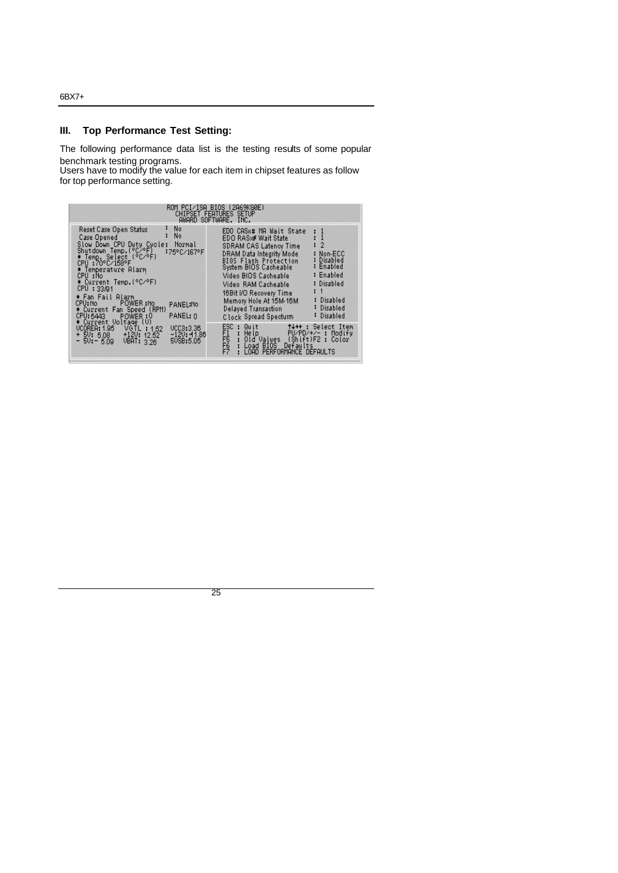## **III. Top Performance Test Setting:**

The following performance data list is the testing results of some popular benchmark testing programs.

Users have to modify the value for each item in chipset features as follow for top performance setting.

|                                                                                                                                                                                                                                                                                                                                                                                                                             | ROM PCI/ISA BIOS (2A69KG0E)<br><b>CHIPSET FEATURES SETUP</b><br>AWARD SOFTWARE, INC.                                                                                                                                                                                                                                                                                                                                                                     |
|-----------------------------------------------------------------------------------------------------------------------------------------------------------------------------------------------------------------------------------------------------------------------------------------------------------------------------------------------------------------------------------------------------------------------------|----------------------------------------------------------------------------------------------------------------------------------------------------------------------------------------------------------------------------------------------------------------------------------------------------------------------------------------------------------------------------------------------------------------------------------------------------------|
| - No<br>F,<br>Reset Case Open Status<br>N <sub>o</sub><br>Case Opened<br>Slow Down CPU Duty Cycle:<br>Normal<br>Shutdown Temp.(°C⁄°F)<br>* Temp. Select (°C⁄°F)<br>CPU :70°C⁄158°F<br>:75°C/167°F<br>* Temperature Alarm<br>CPU: No<br>* Current Temp. (°C/°F)<br>CPU: 33/91<br>* Fan Fail Alarm<br>CPU: No POWER: No<br>PANEL:No<br>* Current Fan Speed (RPM)<br>PANEL: 0<br>CPU: 5443<br>POWER:0<br># Current Voltage (V) | EDO CAS*# MA Wait State<br>EDO RAS»# Wait State<br>$\overline{2}$<br><b>SDRAM CAS Latency Time</b><br>DRAM Data Integrity Mode<br>: Non-ECC<br><b>BIOS Flash Protection</b><br>: Disabled<br>: Enabled<br>System BIOS Cacheable<br>: Enabled<br>Video BIOS Cacheable<br>: Disabled<br>Video RAM Cacheable<br>16Bit I/O Recovery Time<br>: Disabled<br>Memory Hole At 15M-16M<br>: Disabled<br>Delayed Transaction<br>: Disabled<br>Clock Spread Specturm |
| UCOREA: 1.95 VGTL: 1.52<br>UCC3:3.36<br>+ 50: 5.08 +120: 12.52<br>$-120: -11.86$<br>$-50 - 5.09$ VBAT: 3.26<br>50SB:5.05                                                                                                                                                                                                                                                                                                    | ESC : Quit<br>e Quit : 11++ : Select Item :<br>Etelp : PU/PD/+/− : Modify : PU/PD/+/− : Modify :<br>Did Oalyes _(Shift)F2 : Color :<br>FIF<br>FF<br>FF<br>F7<br>: Load BIOS Defaults<br>LOAD PERFORMANCE DEFAULTS                                                                                                                                                                                                                                        |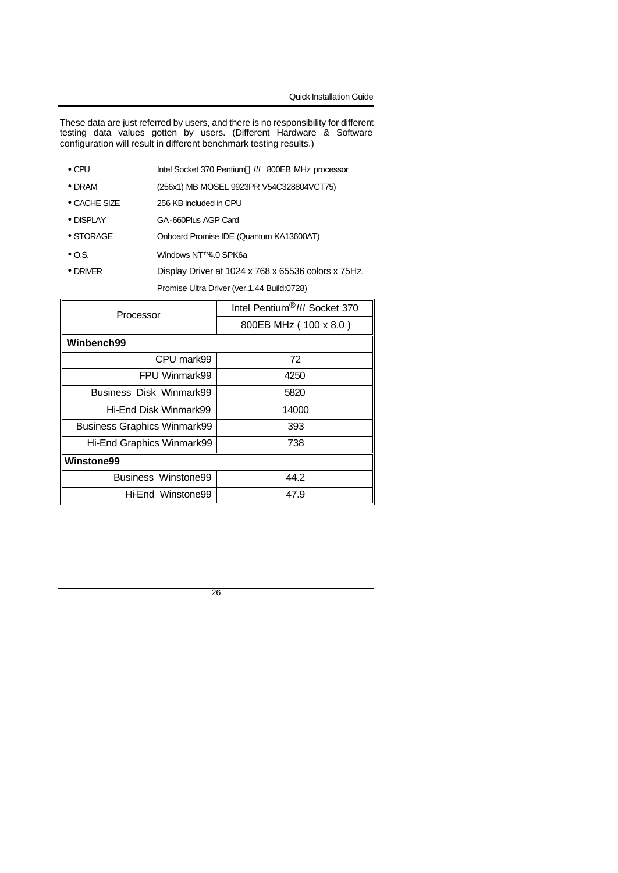Quick Installation Guide

These data are just referred by users, and there is no responsibility for different testing data values gotten by users. (Different Hardware & Software configuration will result in different benchmark testing results.)

- CPU **Intel Socket 370 Pentium® !!!** 800EB MHz processor
- DRAM (256x1) MB MOSEL 9923PR V54C328804VCT75)
- CACHE SIZE 256 KB included in CPU
- DISPLAY GA-660Plus AGP Card
- STORAGE Onboard Promise IDE (Quantum KA13600AT)
- O.S. Windows NT™ 4.0 SPK6a
- DRIVER Display Driver at 1024 x 768 x 65536 colors x 75Hz.

Promise Ultra Driver (ver.1.44 Build:0728)

| Processor                          | Intel Pentium®!!! Socket 370 |  |
|------------------------------------|------------------------------|--|
|                                    | 800EB MHz (100 x 8.0)        |  |
| Winbench99                         |                              |  |
| CPU mark99                         | 72                           |  |
| FPU Winmark99                      | 4250                         |  |
| Business Disk Winmark99            | 5820                         |  |
| Hi-End Disk Winmark99              | 14000                        |  |
| <b>Business Graphics Winmark99</b> | 393                          |  |
| Hi-End Graphics Winmark99          | 738                          |  |
| Winstone99                         |                              |  |
| Business Winstone99                | 44.2                         |  |
| Hi-End Winstone99                  | 47.9                         |  |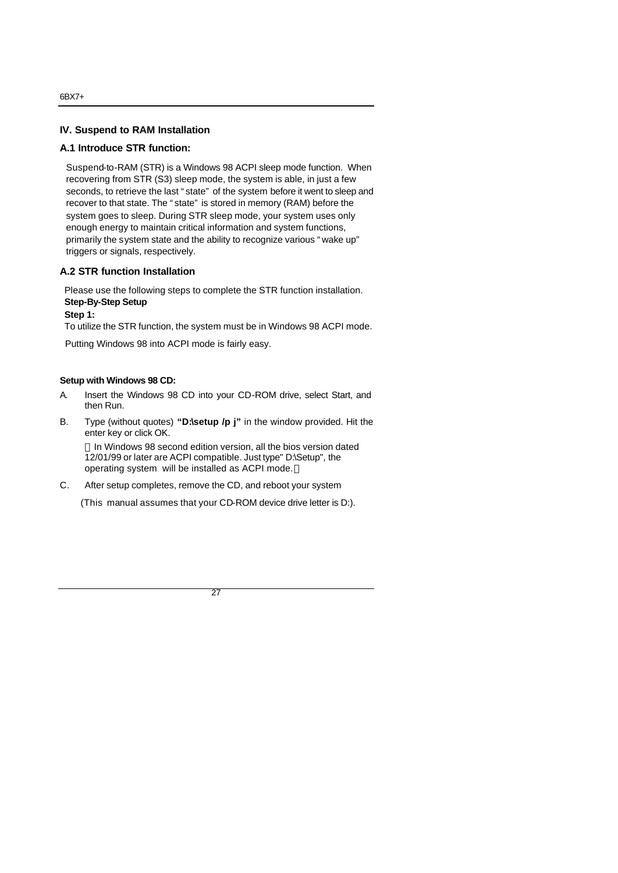#### **IV. Suspend to RAM Installation**

#### **A.1 Introduce STR function:**

Suspend-to-RAM (STR) is a Windows 98 ACPI sleep mode function. When recovering from STR (S3) sleep mode, the system is able, in just a few seconds, to retrieve the last "state" of the system before it went to sleep and recover to that state. The "state" is stored in memory (RAM) before the system goes to sleep. During STR sleep mode, your system uses only enough energy to maintain critical information and system functions, primarily the system state and the ability to recognize various "wake up" triggers or signals, respectively.

#### **A.2 STR function Installation**

Please use the following steps to complete the STR function installation. **Step-By-Step Setup**

#### **Step 1:**

To utilize the STR function, the system must be in Windows 98 ACPI mode.

Putting Windows 98 into ACPI mode is fairly easy.

#### **Setup with Windows 98 CD:**

- A. Insert the Windows 98 CD into your CD-ROM drive, select Start, and then Run.
- B. Type (without quotes) **"D:\setup /p j"** in the window provided. Hit the enter key or click OK.

In Windows 98 second edition version, all the bios version dated 12/01/99 or later are ACPI compatible. Just type" D:\Setup", the operating system will be installed as ACPI mode.

C. After setup completes, remove the CD, and reboot your system

(This manual assumes that your CD-ROM device drive letter is D:).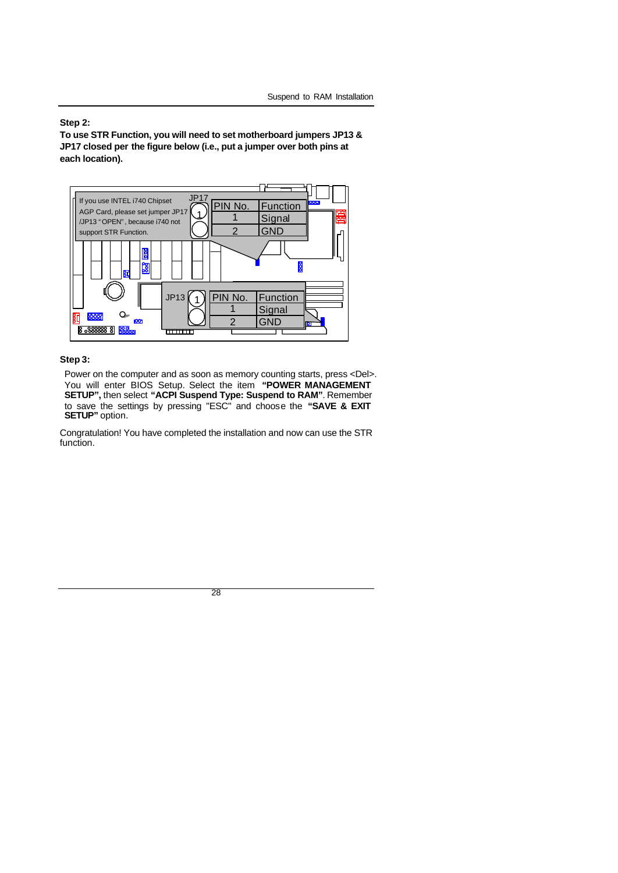#### **Step 2:**

**To use STR Function, you will need to set motherboard jumpers JP13 & JP17 closed per the figure below (i.e., put a jumper over both pins at each location).**



### **Step 3:**

Power on the computer and as soon as memory counting starts, press <Del>. You will enter BIOS Setup. Select the item **"POWER MANAGEMENT SETUP",** then select **"ACPI Suspend Type: Suspend to RAM"**. Remember to save the settings by pressing "ESC" and choose the **"SAVE & EXIT SETUP"** option.

Congratulation! You have completed the installation and now can use the STR function.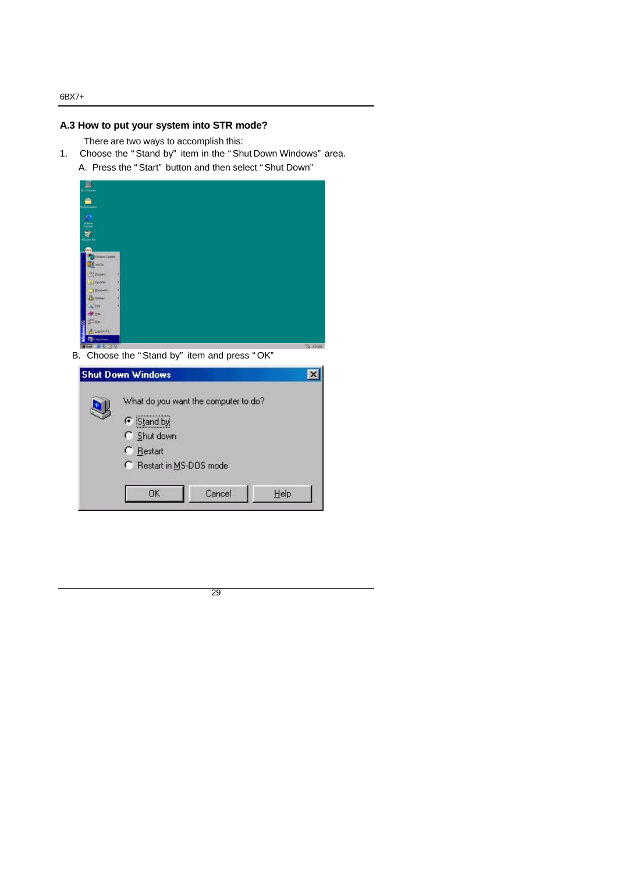## **A.3 How to put your system into STR mode?**

- There are two ways to accomplish this:
- 1. Choose the "Stand by" item in the "Shut Down Windows" area. A. Press the "Start" button and then select "Shut Down"



B. Choose the "Stand by" item and press "OK"

| <b>Shut Down Windows</b>                                                                                                |        |      |
|-------------------------------------------------------------------------------------------------------------------------|--------|------|
| What do you want the computer to do?<br>G Stand by<br>C Shut down<br>C Restart<br>C Restart in MS-DOS mode<br><b>DK</b> | Cancel | Help |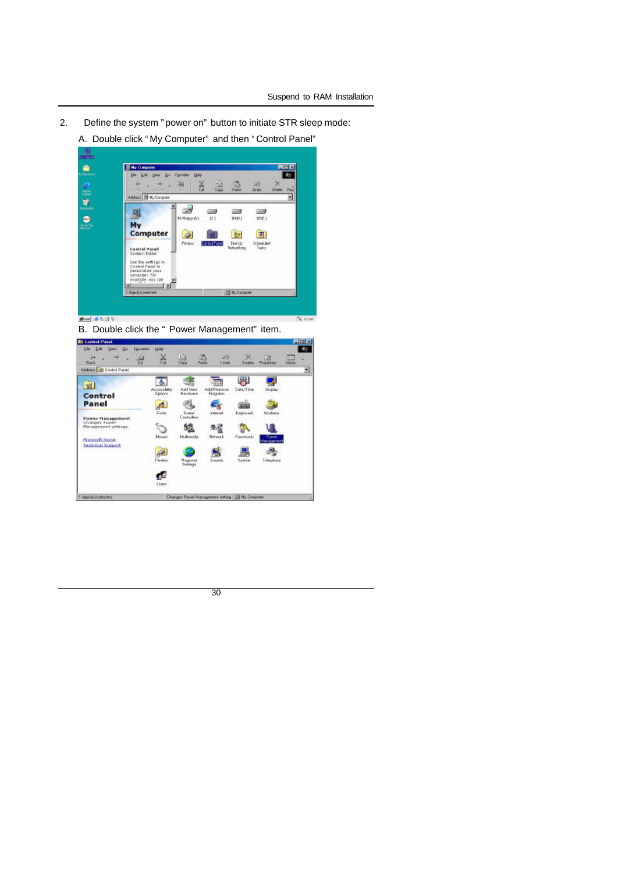- 2. Define the system "power on" button to initiate STR sleep mode:
	- A. Double click "My Computer" and then "Control Panel"



B. Double click the " Power Management" item.

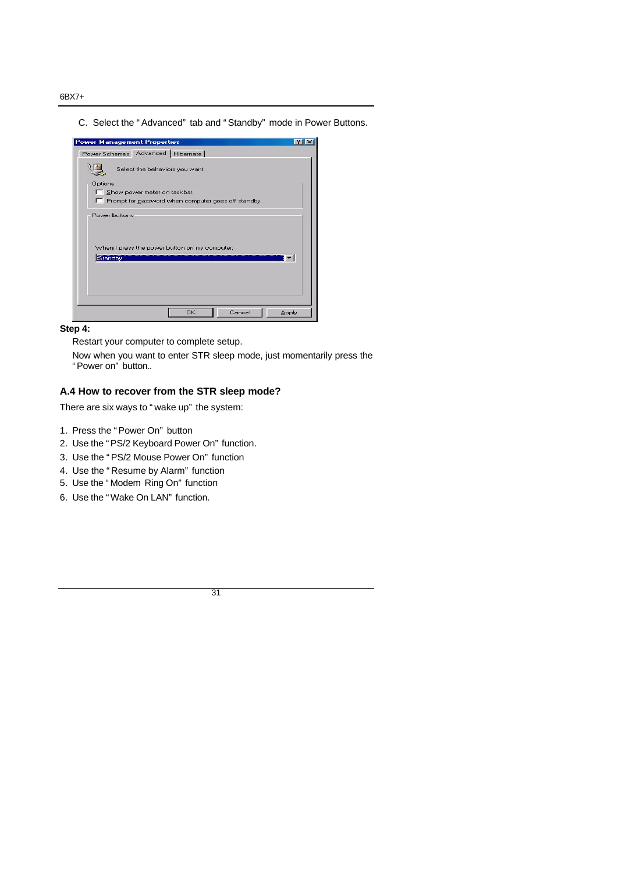C. Select the "Advanced" tab and "Standby" mode in Power Buttons.

|                | Power Schemes Advanced   Hibernate                    |  |
|----------------|-------------------------------------------------------|--|
|                | Select the behaviors you want.                        |  |
| <b>Options</b> |                                                       |  |
|                | Show power meter on taskbar.                          |  |
|                | F Prompt for password when computer goes off standby. |  |
|                | Power buttons                                         |  |
|                | When I press the power button on my computer:         |  |
| Standby        |                                                       |  |
|                |                                                       |  |
|                |                                                       |  |
|                |                                                       |  |
|                |                                                       |  |

#### **Step 4:**

Restart your computer to complete setup.

Now when you want to enter STR sleep mode, just momentarily press the "Power on" button..

## **A.4 How to recover from the STR sleep mode?**

There are six ways to "wake up" the system:

- 1. Press the "Power On" button
- 2. Use the "PS/2 Keyboard Power On" function.
- 3. Use the "PS/2 Mouse Power On" function
- 4. Use the "Resume by Alarm" function
- 5. Use the "Modem Ring On" function
- 6. Use the "Wake On LAN" function.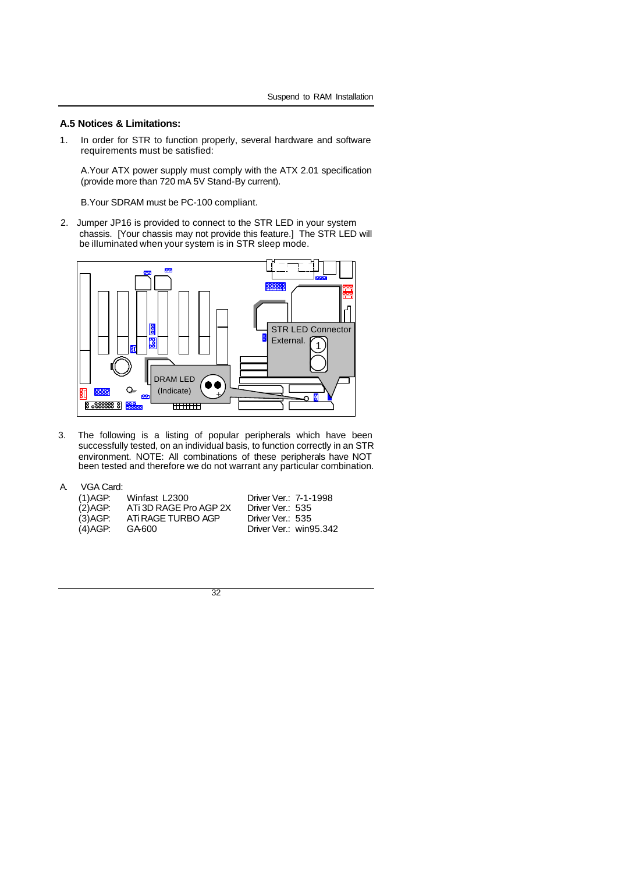#### **A.5 Notices & Limitations:**

1. In order for STR to function properly, several hardware and software requirements must be satisfied:

A.Your ATX power supply must comply with the ATX 2.01 specification (provide more than 720 mA 5V Stand-By current).

B.Your SDRAM must be PC-100 compliant.

2. Jumper JP16 is provided to connect to the STR LED in your system chassis. [Your chassis may not provide this feature.] The STR LED will be illuminated when your system is in STR sleep mode.



3. The following is a listing of popular peripherals which have been successfully tested, on an individual basis, to function correctly in an STR environment. NOTE: All combinations of these peripherals have NOT been tested and therefore we do not warrant any particular combination.

| VGA Card:<br>А. |
|-----------------|
|-----------------|

| (1)AGP:  | Winfast L2300          | Driver Ver.: 7-1-1998  |
|----------|------------------------|------------------------|
| (2) AGP: | ATi 3D RAGE Pro AGP 2X | Driver Ver.: 535       |
| (3) AGP: | ATI RAGE TURBO AGP     | Driver Ver.: 535       |
| (4)AGP:  | GA 600                 | Driver Ver.: win95.342 |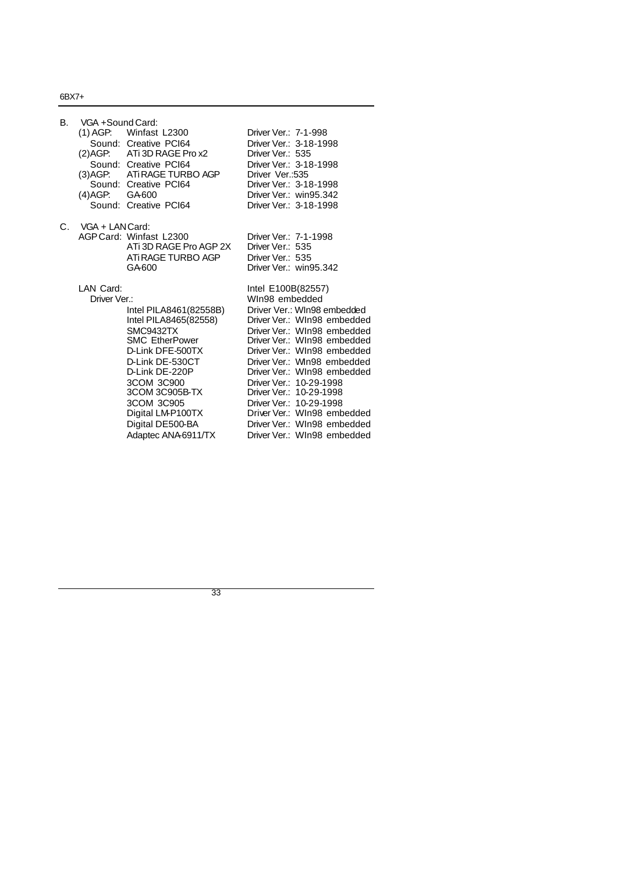| В. | VGA +Sound Card:<br>(3) AGP:<br>(4) AGP: GA600 | $(1)$ AGP: Winfast L2300<br>Sound: Creative PCI64<br>(2) AGP: ATi 3D RAGE Prox2<br>Sound: Creative PCI64<br>ATI RAGE TURBO AGP<br>Sound: Creative PCI64<br>Sound: Creative PCI64                                                                            | Driver Ver.: 7-1-998<br>Driver Ver.: 3-18-1998<br>Driver Ver.: 535<br>Driver Ver.: 3-18-1998<br>Driver Ver.:535<br>Driver Ver.: 3-18-1998<br>Driver Ver.: win95.342<br>Driver Ver.: 3-18-1998                                                                                                                                                                                                                                               |
|----|------------------------------------------------|-------------------------------------------------------------------------------------------------------------------------------------------------------------------------------------------------------------------------------------------------------------|---------------------------------------------------------------------------------------------------------------------------------------------------------------------------------------------------------------------------------------------------------------------------------------------------------------------------------------------------------------------------------------------------------------------------------------------|
| C. | VGA + LAN Card:                                | AGP Card: Winfast L2300<br>ATi 3D RAGE Pro AGP 2X<br>ATI RAGE TURBO AGP<br>GA-600                                                                                                                                                                           | Driver Ver.: 7-1-1998<br>Driver Ver.: 535<br>Driver Ver.: 535<br>Driver Ver.: win95.342                                                                                                                                                                                                                                                                                                                                                     |
|    | LAN Card:<br>Driver Ver.:                      | Intel PILA8461(82558B)<br>Intel PILA8465(82558)<br>SMC9432TX<br><b>SMC EtherPower</b><br>D-Link DFE-500TX<br>D-Link DE-530CT<br>D-Link DE-220P<br>3COM 3C900<br>3COM 3C905B-TX<br>3COM 3C905<br>Digital LM-P100TX<br>Digital DE500-BA<br>Adaptec ANA6911/TX | Intel E100B(82557)<br>WIn98 embedded<br>Driver Ver.: WIn98 embedded<br>Driver Ver.: WIn98 embedded<br>Driver Ver.: WIn98 embedded<br>Driver Ver.: WIn98 embedded<br>Driver Ver.: WIn98 embedded<br>Driver Ver.: WIn98 embedded<br>Driver Ver.: WIn98 embedded<br>Driver Ver.: 10-29-1998<br>Driver Ver.: 10-29-1998<br>Driver Ver.: 10-29-1998<br>Driver Ver.: WIn98 embedded<br>Driver Ver.: WIn98 embedded<br>Driver Ver.: WIn98 embedded |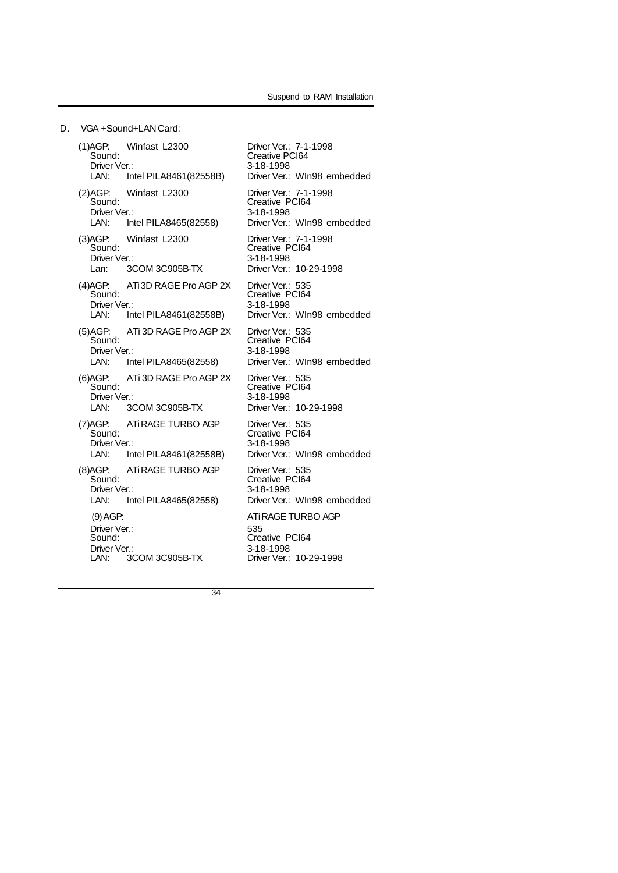D. VGA +Sound+LAN Card:

(1)AGP: Winfast L2300 Driver Ver.: 7-1-1998 Sound: Creative PCI64 Driver Ver.: 3-18-1998<br>LAN: Intel PILA8461(82558B) Driver Ver.: Driver Ver.: WIn98 embedded (2)AGP: Winfast L2300 Driver Ver.: 7-1-1998 Sound: Creative PCI64 Driver Ver.: 3-18-1998<br>
LAN: Intel PILA8465(82558) Driver Ver.: Driver Ver.: WIn98 embedded (3)AGP: Winfast L2300 Driver Ver.: 7-1-1998 Sound: Creative PCI64 Driver Ver.: 3COM 3C905B-TX 3-18-1998<br>
Lan: 3COM 3C905B-TX Driver Ver.: Driver Ver.: 10-29-1998 (4) AGP: ATi 3D RAGE Pro AGP 2X<br>Sound: Driver Ver.: 535<br>Creative PCI64 Driver Ver.: 3-18-1998<br>LAN: Intel PILA8461(82558B) Driver Ver.: Driver Ver.: WIn98 embedded (5)AGP: ATi 3D RAGE Pro AGP 2X<br>Sound: Driver Ver.: 535<br>Creative PCI64 Driver Ver.: 3-18-1998<br>
LAN: Intel PILA8465(82558) Driver Ver.: Driver Ver.: WIn98 embedded (6)AGP: ATi 3D RAGE Pro AGP 2X<br>Sound: AGP: ATi 3D RAGE Pro AGP 2X Driver Ver.: 535<br>Sound: Creative PCI64<br>Driver Ver.: Creative PCI64 Driver Ver.: 3-18-1998<br>
LAN: 3COM 3C905B-TX Driver Ver.: Driver Ver.: 10-29-1998 (7)AGP: ATi RAGE TURBO AGP<br>Sound: Driver Ver.: 535<br>Creative PCI64<br>3-18-1998 Driver Ver.:<br>LAN: In Intel PILA8461(82558B) Driver Ver.: WIn98 embedded (8) AGP: ATi RAGE TURBO AGP<br>Sound: AGP: ATIRAGE TURBO AGP Driver Ver.: 535<br>Sound: Creative PCI64<br>Driver Ver.: Creative PCI64 Driver Ver.: 3-18-1998 LAN: Intel PILA8465(82558) Driver Ver.: WIn98 embedded (9)AGP: ATi RAGE TURBO AGP Driver Ver.: 535<br>Sound: 535<br>Crea Creative PCI64 Driver Ver.: 3COM 3C905B-TX 3-18-1998<br>
LAN: 3COM 3C905B-TX Driver Ver.: Driver Ver.: 10-29-1998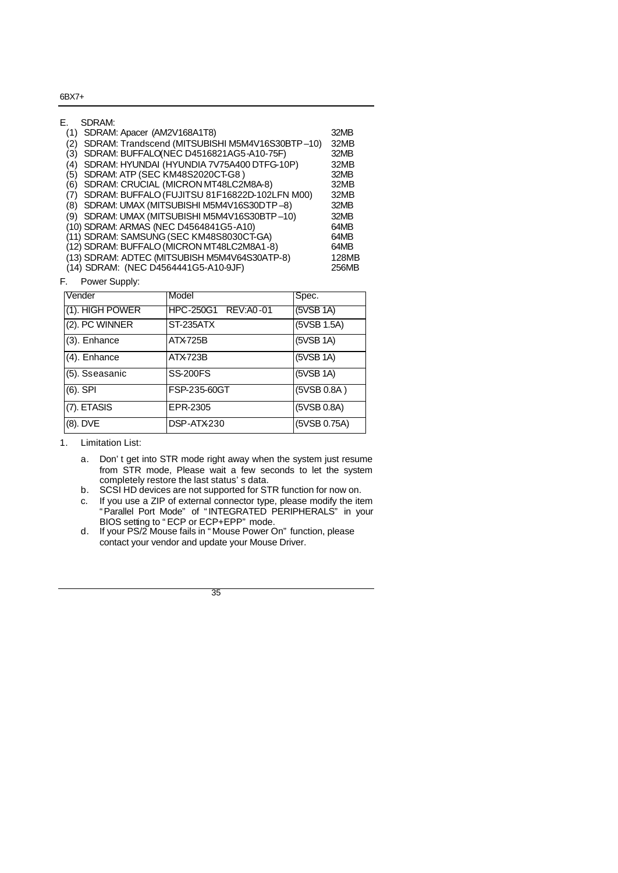| Е.  | SDRAM:                                          |       |
|-----|-------------------------------------------------|-------|
| (1) | SDRAM: Apacer (AM2V168A1T8)                     | 32MB  |
| (2) | SDRAM: Trandscend (MITSUBISHI M5M4V16S30BTP-10) | 32MB  |
| (3) | SDRAM: BUFFALO(NEC D4516821AG5-A10-75F)         | 32MB  |
| (4) | SDRAM: HYUNDAI (HYUNDIA 7V75A400 DTFG-10P)      | 32MB  |
| (5) | SDRAM: ATP (SEC KM48S2020CT-G8)                 | 32MB  |
| (6) | SDRAM: CRUCIAL (MICRON MT48LC2M8A-8)            | 32MB  |
| (7) | SDRAM: BUFFALO (FUJITSU 81F16822D-102LFN M00)   | 32MB  |
| (8) | SDRAM: UMAX (MITSUBISHI M5M4V16S30DTP-8)        | 32MB  |
| (9) | SDRAM: UMAX (MITSUBISHI M5M4V16S30BTP-10)       | 32MB  |
|     | (10) SDRAM: ARMAS (NEC D4564841G5-A10)          | 64MB  |
|     | (11) SDRAM: SAMSUNG (SEC KM48S8030CT-GA)        | 64MB  |
|     | (12) SDRAM: BUFFALO (MICRON MT48LC2M8A1-8)      | 64MB  |
|     | (13) SDRAM: ADTEC (MITSUBISH M5M4V64S30ATP-8)   | 128MB |
|     | (14) SDRAM: (NEC D4564441G5-A10-9JF)            | 256MB |
| F.  | Power Supply:                                   |       |

| Vender          | Model                       | Spec.        |
|-----------------|-----------------------------|--------------|
| (1). HIGH POWER | <b>IHPC-250G1 REV:A0-01</b> | (5VSB 1A)    |
| (2). PC WINNER  | ST-235ATX                   | (5VSB 1.5A)  |
| (3). Enhance    | ATX725B                     | (5VSB 1A)    |
| (4). Enhance    | ATX723B                     | (5VSB 1A)    |
| (5). Sseasanic  | <b>SS-200FS</b>             | (5VSB 1A)    |
| $(6)$ . SPI     | <b>FSP-235-60GT</b>         | (5VSB 0.8A)  |
| (7). ETASIS     | EPR-2305                    | (5VSB 0.8A)  |
| (8). DVE        | DSP-ATX-230                 | (5VSB 0.75A) |

1. Limitation List:

- a. Don't get into STR mode right away when the system just resume from STR mode, Please wait a few seconds to let the system completely restore the last status's data.
- b. SCSI HD devices are not supported for STR function for now on.
- c. If you use a ZIP of external connector type, please modify the item "Parallel Port Mode" of "INTEGRATED PERIPHERALS" in your BIOS setting to "ECP or ECP+EPP" mode.
- d. If your PS/2 Mouse fails in "Mouse Power On" function, please contact your vendor and update your Mouse Driver.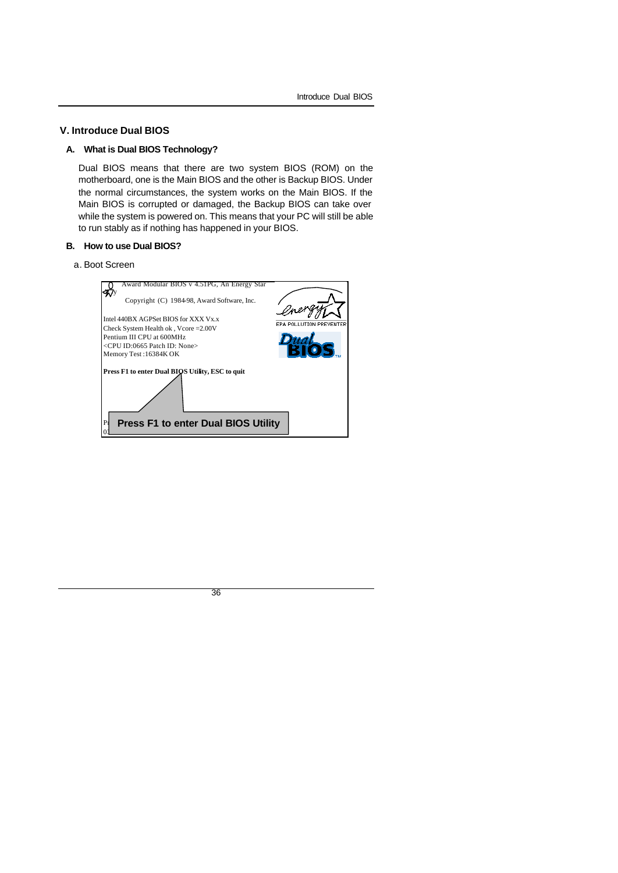#### **V. Introduce Dual BIOS**

#### **A. What is Dual BIOS Technology?**

Dual BIOS means that there are two system BIOS (ROM) on the motherboard, one is the Main BIOS and the other is Backup BIOS. Under the normal circumstances, the system works on the Main BIOS. If the Main BIOS is corrupted or damaged, the Backup BIOS can take over while the system is powered on. This means that your PC will still be able to run stably as if nothing has happened in your BIOS.

## **B. How to use Dual BIOS?**

#### a. Boot Screen

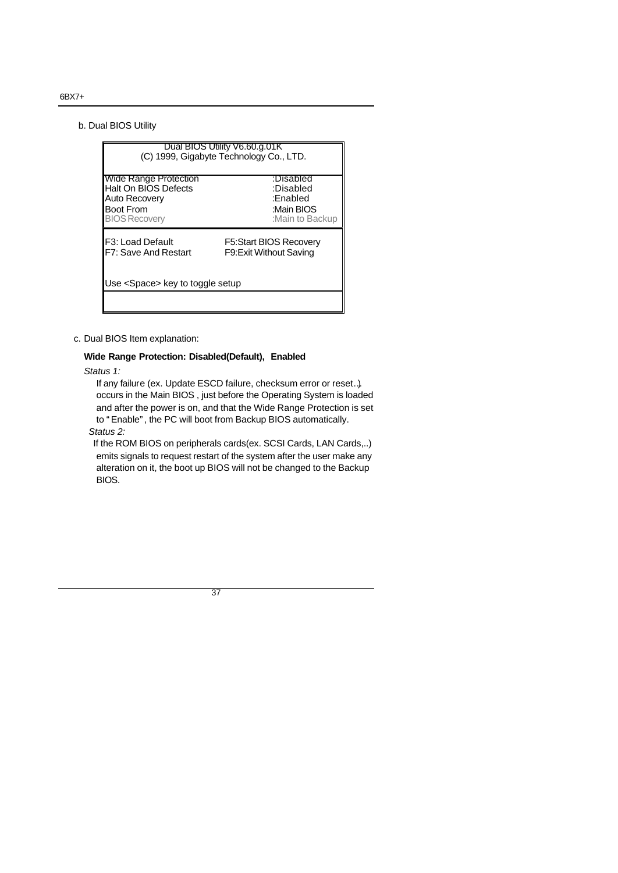b. Dual BIOS Utility

|                                         | Dual BIOS Utility V6.60.g.01K<br>(C) 1999, Gigabyte Technology Co., LTD. |  |  |  |
|-----------------------------------------|--------------------------------------------------------------------------|--|--|--|
| Wide Range Protection                   | :Disabled                                                                |  |  |  |
| Halt On BIOS Defects                    | :Disabled                                                                |  |  |  |
| Auto Recovery                           | :Enabled                                                                 |  |  |  |
| <b>Boot From</b>                        | :Main BIOS                                                               |  |  |  |
| <b>BIOS Recovery</b>                    | :Main to Backup                                                          |  |  |  |
| F <sub>3</sub> : Load Default           | F5:Start BIOS Recovery                                                   |  |  |  |
| F7: Save And Restart                    | F9: Exit Without Saving                                                  |  |  |  |
| Use <space> key to toggle setup</space> |                                                                          |  |  |  |

c. Dual BIOS Item explanation:

#### **Wide Range Protection: Disabled(Default), Enabled**

*Status 1:*

 If any failure (ex. Update ESCD failure, checksum error or reset…) occurs in the Main BIOS , just before the Operating System is loaded and after the power is on, and that the Wide Range Protection is set to "Enable", the PC will boot from Backup BIOS automatically.

*Status 2:*

 If the ROM BIOS on peripherals cards(ex. SCSI Cards, LAN Cards,..) emits signals to request restart of the system after the user make any alteration on it, the boot up BIOS will not be changed to the Backup BIOS.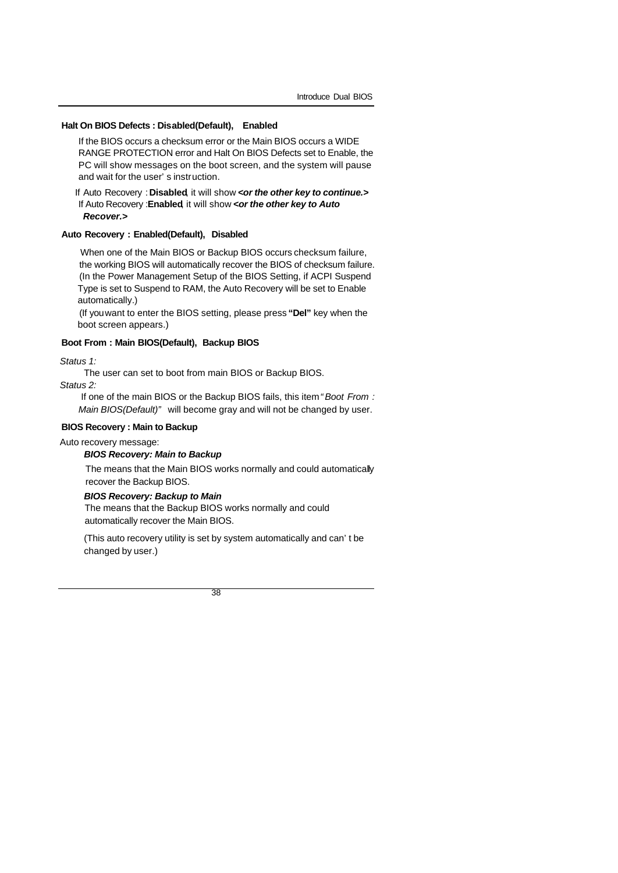#### **Halt On BIOS Defects : Disabled(Default), Enabled**

If the BIOS occurs a checksum error or the Main BIOS occurs a WIDE RANGE PROTECTION error and Halt On BIOS Defects set to Enable, the PC will show messages on the boot screen, and the system will pause and wait for the user's instruction.

 If Auto Recovery :**Disabled**, it will show *<or the other key to continue.>* If Auto Recovery :**Enabled**, it will show *<or the other key to Auto Recover.>*

#### **Auto Recovery : Enabled(Default), Disabled**

 When one of the Main BIOS or Backup BIOS occurs checksum failure, the working BIOS will automatically recover the BIOS of checksum failure. (In the Power Management Setup of the BIOS Setting, if ACPI Suspend Type is set to Suspend to RAM, the Auto Recovery will be set to Enable automatically.)

(If you want to enter the BIOS setting, please press **"Del"** key when the boot screen appears.)

#### **Boot From : Main BIOS(Default), Backup BIOS**

*Status 1:*

The user can set to boot from main BIOS or Backup BIOS.

*Status 2:*

 If one of the main BIOS or the Backup BIOS fails, this item *"Boot From : Main BIOS(Default)"* will become gray and will not be changed by user.

#### **BIOS Recovery : Main to Backup**

Auto recovery message:

#### *BIOS Recovery: Main to Backup*

The means that the Main BIOS works normally and could automatically recover the Backup BIOS.

#### *BIOS Recovery: Backup to Main*

The means that the Backup BIOS works normally and could automatically recover the Main BIOS.

(This auto recovery utility is set by system automatically and can't be changed by user.)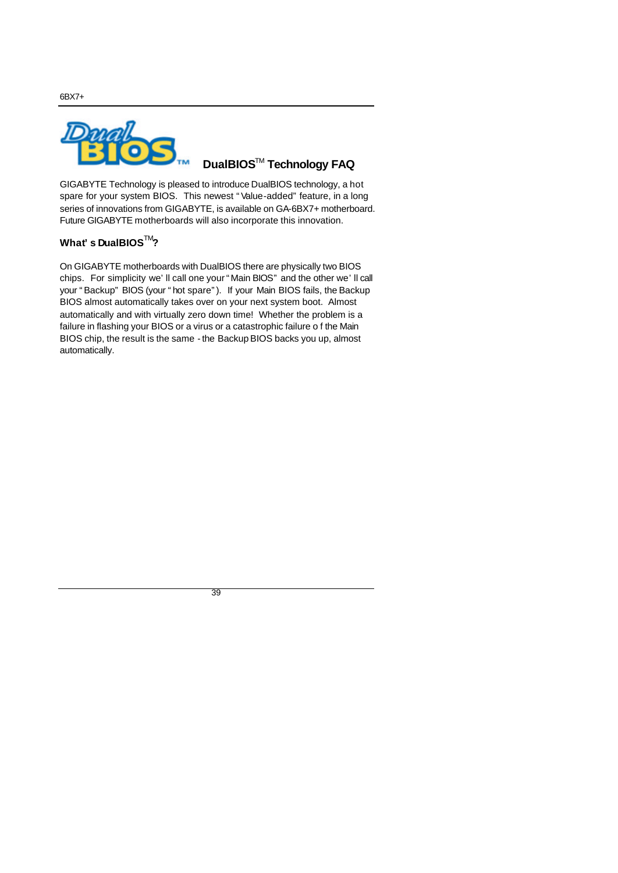**DualBIOS** TM **Technology FAQ**

GIGABYTE Technology is pleased to introduce DualBIOS technology, a hot spare for your system BIOS. This newest "Value-added" feature, in a long series of innovations from GIGABYTE, is available on GA-6BX7+ motherboard. Future GIGABYTE motherboards will also incorporate this innovation.

# **What's DualBIOS**TM**?**

On GIGABYTE motherboards with DualBIOS there are physically two BIOS chips. For simplicity we'll call one your "Main BIOS" and the other we'll call your "Backup" BIOS (your "hot spare"). If your Main BIOS fails, the Backup BIOS almost automatically takes over on your next system boot. Almost automatically and with virtually zero down time! Whether the problem is a failure in flashing your BIOS or a virus or a catastrophic failure o f the Main BIOS chip, the result is the same - the Backup BIOS backs you up, almost automatically.

39

6BX7+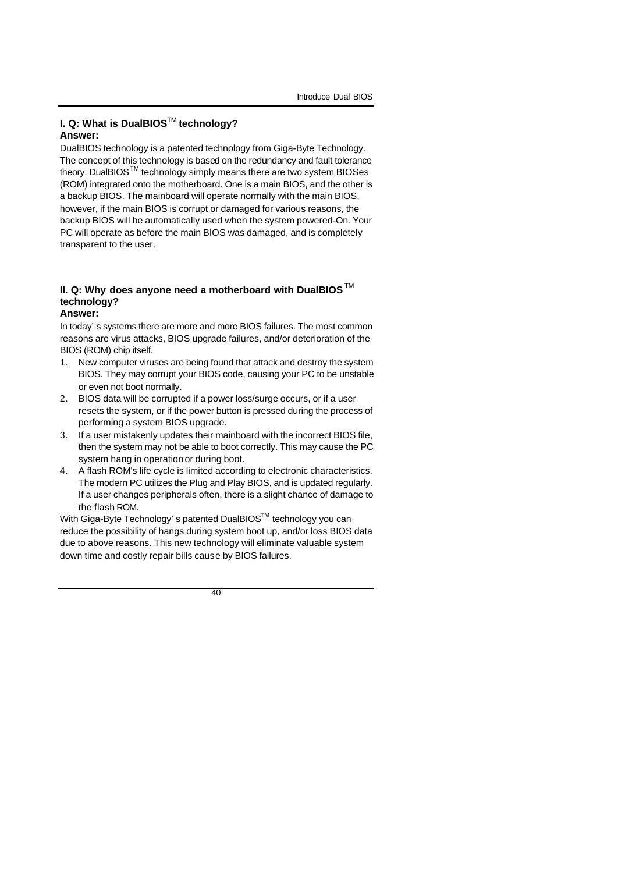## **I. Q: What is DualBIOS™ technology? Answer:**

DualBIOS technology is a patented technology from Giga-Byte Technology. The concept of this technology is based on the redundancy and fault tolerance theory. DualBIOS $^{TM}$  technology simply means there are two system BIOSes (ROM) integrated onto the motherboard. One is a main BIOS, and the other is a backup BIOS. The mainboard will operate normally with the main BIOS, however, if the main BIOS is corrupt or damaged for various reasons, the backup BIOS will be automatically used when the system powered-On. Your PC will operate as before the main BIOS was damaged, and is completely transparent to the user.

# **II. Q: Why does anyone need a motherboard with DualBIOS** M **technology?**

**Answer:**

In today's systems there are more and more BIOS failures. The most common reasons are virus attacks, BIOS upgrade failures, and/or deterioration of the BIOS (ROM) chip itself.

- 1. New computer viruses are being found that attack and destroy the system BIOS. They may corrupt your BIOS code, causing your PC to be unstable or even not boot normally.
- 2. BIOS data will be corrupted if a power loss/surge occurs, or if a user resets the system, or if the power button is pressed during the process of performing a system BIOS upgrade.
- 3. If a user mistakenly updates their mainboard with the incorrect BIOS file, then the system may not be able to boot correctly. This may cause the PC system hang in operation or during boot.
- 4. A flash ROM's life cycle is limited according to electronic characteristics. The modern PC utilizes the Plug and Play BIOS, and is updated regularly. If a user changes peripherals often, there is a slight chance of damage to the flash ROM.

With Giga-Byte Technology's patented DualBIOS™ technology you can reduce the possibility of hangs during system boot up, and/or loss BIOS data due to above reasons. This new technology will eliminate valuable system down time and costly repair bills cause by BIOS failures.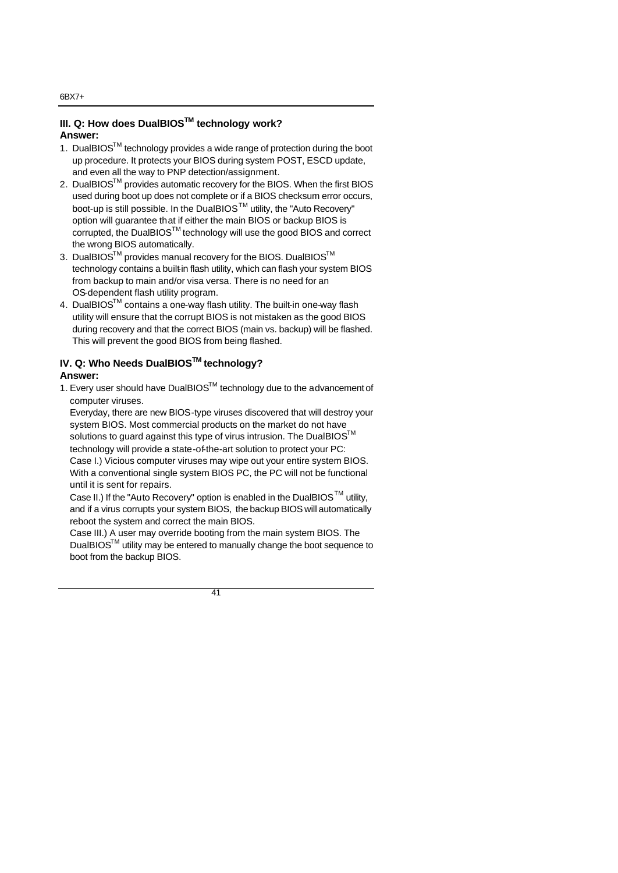#### **III. Q: How does DualBIOSTM technology work? Answer:**

- 1. DualBIOS™ technology provides a wide range of protection during the boot up procedure. It protects your BIOS during system POST, ESCD update, and even all the way to PNP detection/assignment.
- 2. DualBIOS $^{TM}$  provides automatic recovery for the BIOS. When the first BIOS used during boot up does not complete or if a BIOS checksum error occurs, boot-up is still possible. In the DualBIOS<sup>™</sup> utility, the "Auto Recovery" option will guarantee that if either the main BIOS or backup BIOS is corrupted, the DualBIOSTM technology will use the good BIOS and correct the wrong BIOS automatically.
- 3. DualBIOS<sup>™</sup> provides manual recovery for the BIOS. DualBIOS<sup>™</sup> technology contains a built-in flash utility, which can flash your system BIOS from backup to main and/or visa versa. There is no need for an OS-dependent flash utility program.
- 4. DualBIOS™ contains a one-way flash utility. The built-in one-way flash utility will ensure that the corrupt BIOS is not mistaken as the good BIOS during recovery and that the correct BIOS (main vs. backup) will be flashed. This will prevent the good BIOS from being flashed.

# **IV. Q: Who Needs DualBIOSTM technology?**

### **Answer:**

1. Every user should have DualBIOS™ technology due to the advancement of computer viruses.

Everyday, there are new BIOS-type viruses discovered that will destroy your system BIOS. Most commercial products on the market do not have solutions to guard against this type of virus intrusion. The DualBIOS<sup>™</sup> technology will provide a state-of-the-art solution to protect your PC:

Case I.) Vicious computer viruses may wipe out your entire system BIOS. With a conventional single system BIOS PC, the PC will not be functional until it is sent for repairs.

Case II.) If the "Auto Recovery" option is enabled in the DualBIOS<sup>TM</sup> utility, and if a virus corrupts your system BIOS, the backup BIOS will automatically reboot the system and correct the main BIOS.

Case III.) A user may override booting from the main system BIOS. The DualBIOSTM utility may be entered to manually change the boot sequence to boot from the backup BIOS.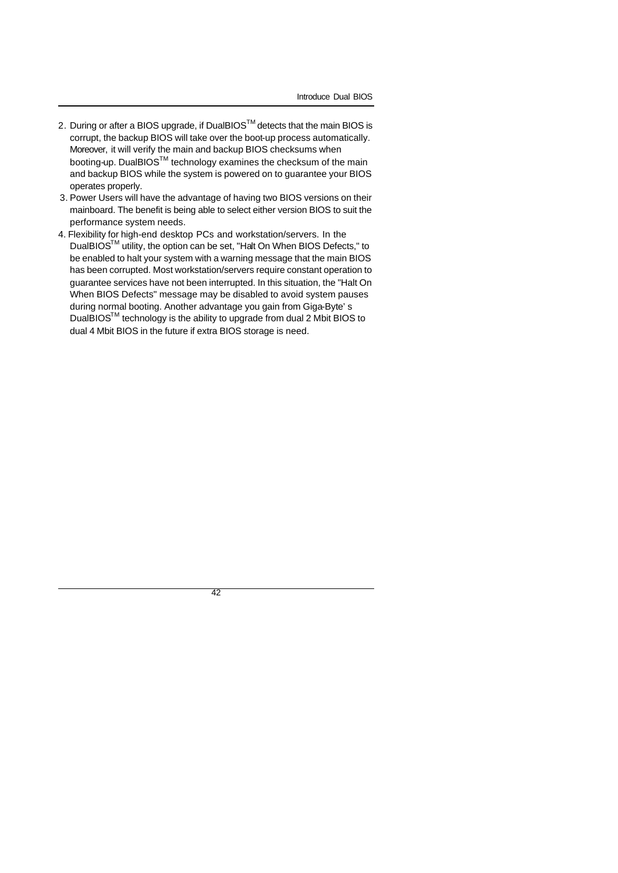- 2. During or after a BIOS upgrade, if DualBIOS™ detects that the main BIOS is corrupt, the backup BIOS will take over the boot-up process automatically. Moreover, it will verify the main and backup BIOS checksums when booting-up. DualBIOS<sup>TM</sup> technology examines the checksum of the main and backup BIOS while the system is powered on to guarantee your BIOS operates properly.
- 3. Power Users will have the advantage of having two BIOS versions on their mainboard. The benefit is being able to select either version BIOS to suit the performance system needs.
- 4. Flexibility for high-end desktop PCs and workstation/servers. In the DualBIOSTM utility, the option can be set, "Halt On When BIOS Defects," to be enabled to halt your system with a warning message that the main BIOS has been corrupted. Most workstation/servers require constant operation to guarantee services have not been interrupted. In this situation, the "Halt On When BIOS Defects" message may be disabled to avoid system pauses during normal booting. Another advantage you gain from Giga-Byte's DualBIOSTM technology is the ability to upgrade from dual 2 Mbit BIOS to dual 4 Mbit BIOS in the future if extra BIOS storage is need.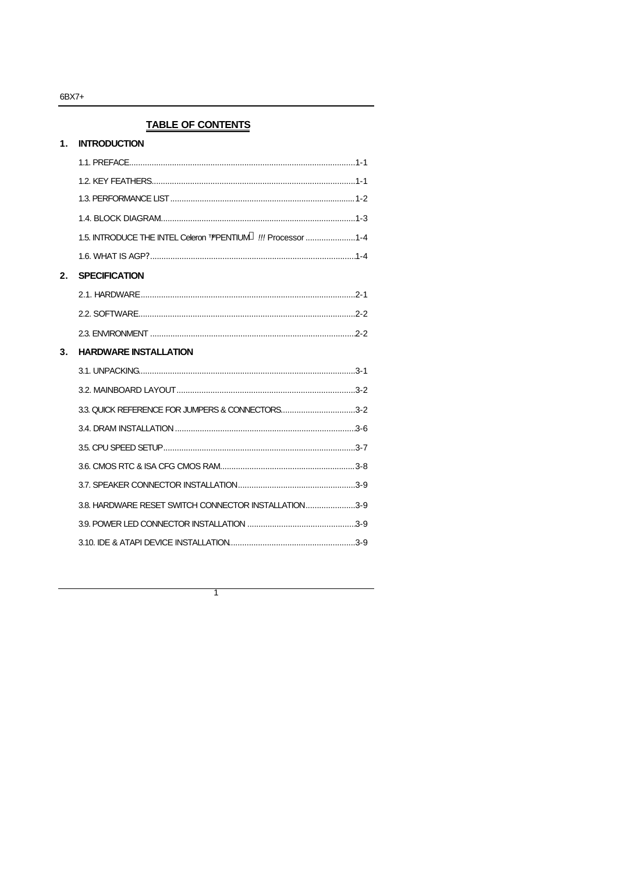# **TABLE OF CONTENTS**

| 1 <sub>1</sub> | <b>INTRODUCTION</b>                                                       |  |
|----------------|---------------------------------------------------------------------------|--|
|                |                                                                           |  |
|                |                                                                           |  |
|                |                                                                           |  |
|                |                                                                           |  |
|                | 1.5. INTRODUCE THE INTEL Celeron T/PENTIUM <sup>®</sup> !!! Processor 1-4 |  |
|                |                                                                           |  |
| 2.             | <b>SPECIFICATION</b>                                                      |  |
|                |                                                                           |  |
|                |                                                                           |  |
|                |                                                                           |  |
| 3.             | <b>HARDWARE INSTALLATION</b>                                              |  |
|                |                                                                           |  |
|                |                                                                           |  |
|                | 3.3. QUICK REFERENCE FOR JUMPERS & CONNECTORS3-2                          |  |
|                |                                                                           |  |
|                |                                                                           |  |
|                |                                                                           |  |
|                |                                                                           |  |
|                | 3.8. HARDWARE RESET SWITCH CONNECTOR INSTALLATION3-9                      |  |
|                |                                                                           |  |
|                |                                                                           |  |
|                |                                                                           |  |

 $\overline{\phantom{a}}$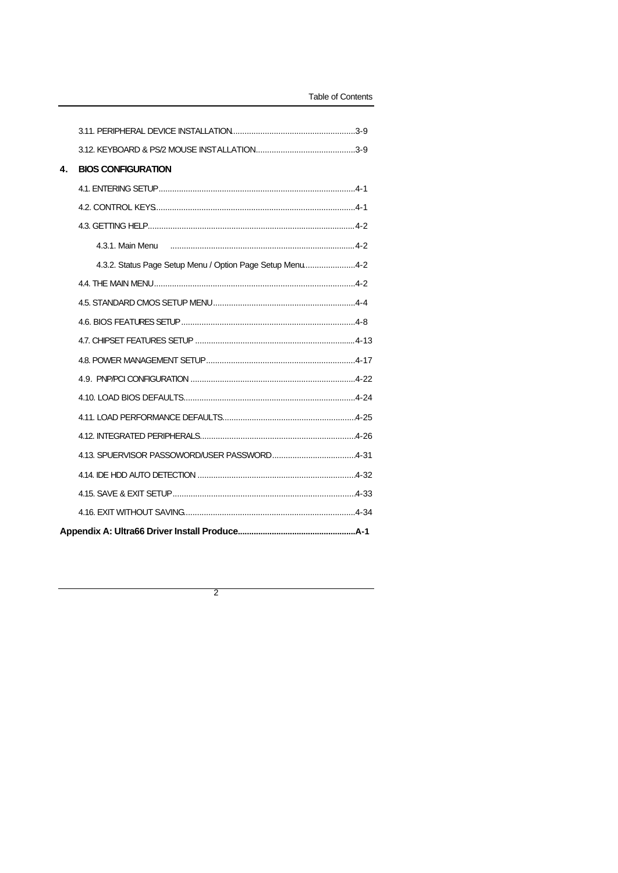| 4. | <b>BIOS CONFIGURATION</b>                                 |
|----|-----------------------------------------------------------|
|    |                                                           |
|    |                                                           |
|    |                                                           |
|    | 4.3.1. Main Menu                                          |
|    | 4.3.2. Status Page Setup Menu / Option Page Setup Menu4-2 |
|    |                                                           |
|    |                                                           |
|    |                                                           |
|    |                                                           |
|    |                                                           |
|    |                                                           |
|    |                                                           |
|    |                                                           |
|    |                                                           |
|    |                                                           |
|    |                                                           |
|    |                                                           |
|    |                                                           |
|    |                                                           |

 $\overline{2}$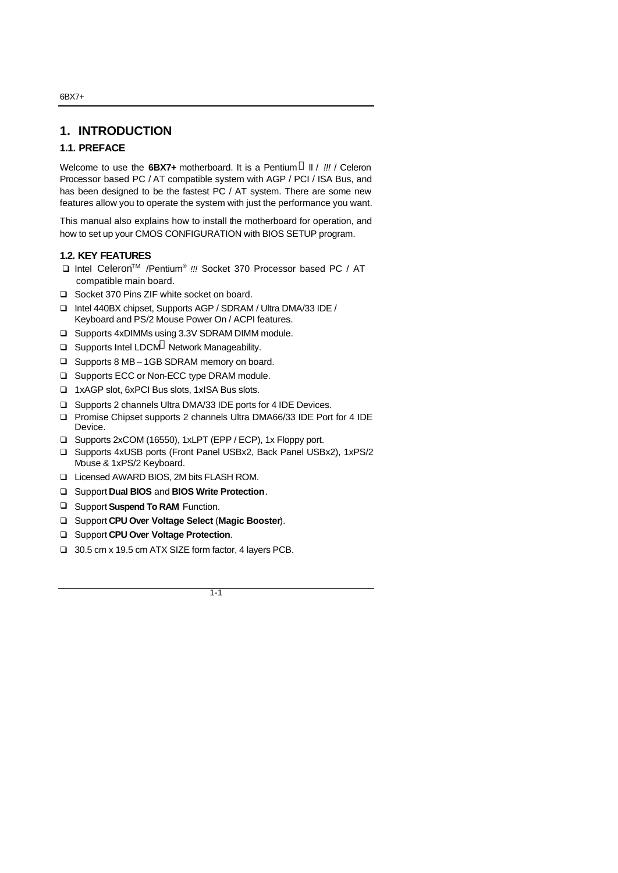## **1. INTRODUCTION**

## **1.1. PREFACE**

Welcome to use the 6BX7+ motherboard. It is a Pentium <sup>®</sup> II / !!! / Celeron Processor based PC / AT compatible system with AGP / PCI / ISA Bus, and has been designed to be the fastest PC / AT system. There are some new features allow you to operate the system with just the performance you want.

This manual also explains how to install the motherboard for operation, and how to set up your CMOS CONFIGURATION with BIOS SETUP program.

### **1.2. KEY FEATURES**

- □ Intel Celeron<sup>™</sup> /Pentium<sup>®</sup> !!! Socket 370 Processor based PC / AT compatible main board.
- □ Socket 370 Pins ZIF white socket on board.
- q Intel 440BX chipset, Supports AGP / SDRAM / Ultra DMA/33 IDE / Keyboard and PS/2 Mouse Power On / ACPI features.
- □ Supports 4xDIMMs using 3.3V SDRAM DIMM module.
- $\Box$  Supports Intel LDCM<sup>®</sup> Network Manageability.
- □ Supports 8 MB 1GB SDRAM memory on board.
- □ Supports ECC or Non-ECC type DRAM module.
- q 1xAGP slot, 6xPCI Bus slots, 1xISA Bus slots.
- □ Supports 2 channels Ultra DMA/33 IDE ports for 4 IDE Devices.
- □ Promise Chipset supports 2 channels Ultra DMA66/33 IDE Port for 4 IDE Device.
- q Supports 2xCOM (16550), 1xLPT (EPP / ECP), 1x Floppy port.
- □ Supports 4xUSB ports (Front Panel USBx2, Back Panel USBx2), 1xPS/2 Mouse & 1xPS/2 Keyboard.
- □ Licensed AWARD BIOS, 2M bits FLASH ROM.
- q Support **Dual BIOS** and **BIOS Write Protection**.
- □ Support **Suspend To RAM** Function.
- q Support **CPU Over Voltage Select** (**Magic Booster**).
- □ Support **CPU Over Voltage Protection**.
- q 30.5 cm x 19.5 cm ATX SIZE form factor, 4 layers PCB.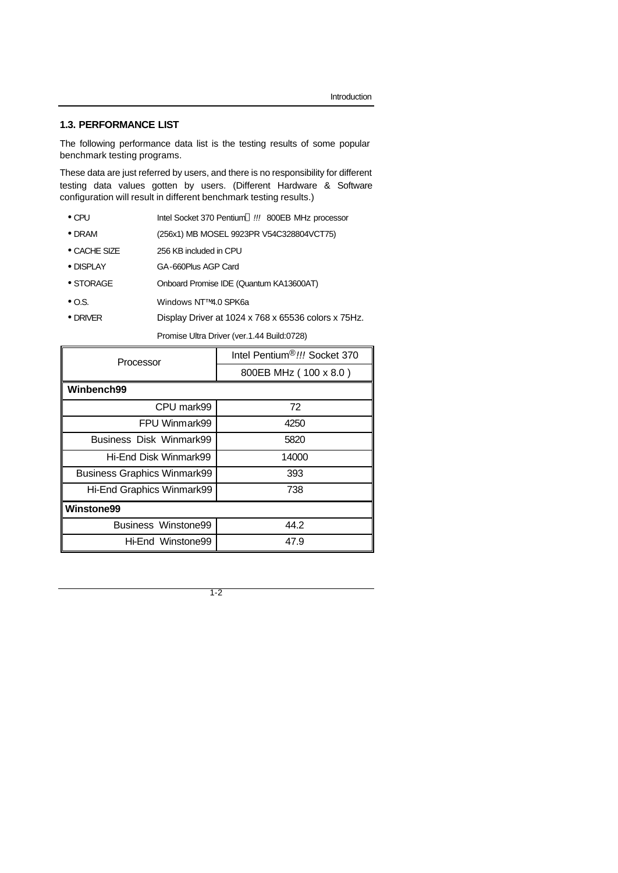### **1.3. PERFORMANCE LIST**

The following performance data list is the testing results of some popular benchmark testing programs.

These data are just referred by users, and there is no responsibility for different testing data values gotten by users. (Different Hardware & Software configuration will result in different benchmark testing results.)

- CPU Intel Socket 370 Pentium *!!!* 800EB MHz processor
- DRAM (256x1) MB MOSEL 9923PR V54C328804VCT75)
- CACHE SIZE 256 KB included in CPU
- DISPLAY GA-660Plus AGP Card
- STORAGE Onboard Promise IDE (Quantum KA13600AT)
- O.S. Windows NT™ 4.0 SPK6a
- DRIVER Display Driver at 1024 x 768 x 65536 colors x 75Hz.

Promise Ultra Driver (ver.1.44 Build:0728)

| Processor                          | Intel Pentium®!!! Socket 370 |  |  |
|------------------------------------|------------------------------|--|--|
|                                    | 800EB MHz (100 x 8.0)        |  |  |
| Winbench99                         |                              |  |  |
| CPU mark99                         | 72                           |  |  |
| FPU Winmark99                      | 4250                         |  |  |
| Business Disk Winmark99            | 5820                         |  |  |
| Hi-End Disk Winmark99              | 14000                        |  |  |
| <b>Business Graphics Winmark99</b> | 393                          |  |  |
| Hi-End Graphics Winmark99          | 738                          |  |  |
| <b>Winstone99</b>                  |                              |  |  |
| Business Winstone99                | 44.2                         |  |  |
| Hi-End Winstone99                  | 47.9                         |  |  |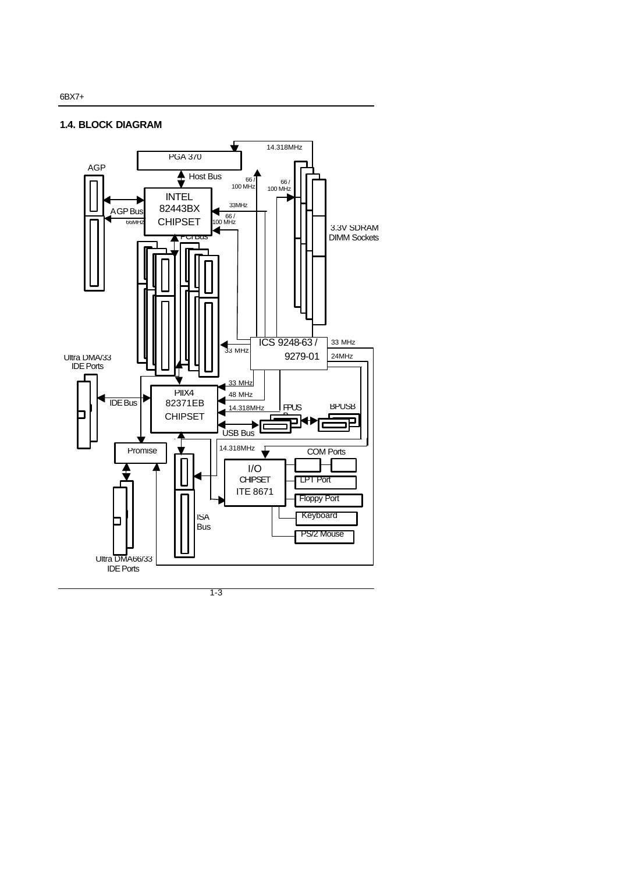#### **1.4. BLOCK DIAGRAM**

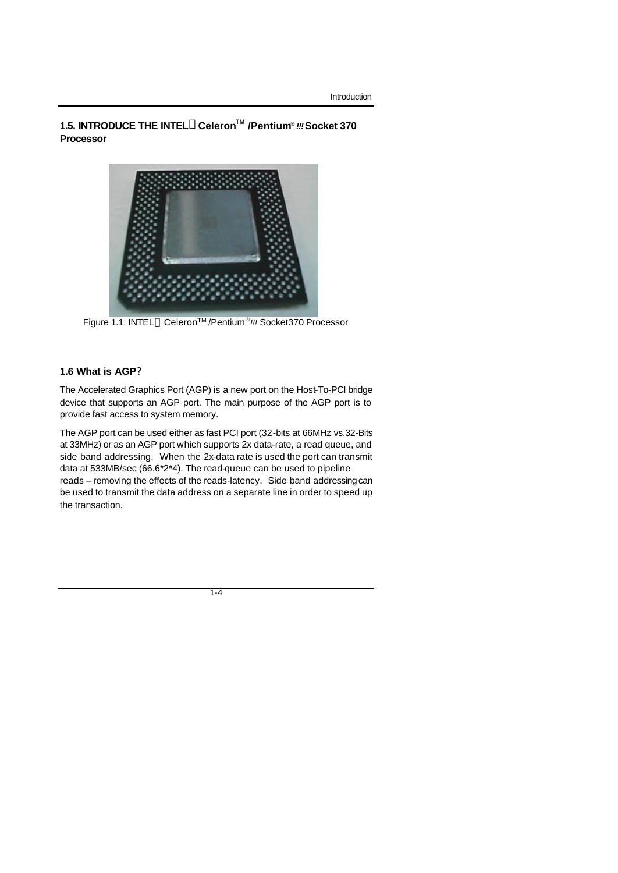**1.5. INTRODUCE THE INTELâCeleronTM /Pentium®**  *!!!* **Socket 370 Processor** 



Figure 1.1: INTEL<sup>®</sup> Celeron<sup>™</sup>/Pentium<sup>®</sup> !!! Socket370 Processor

### **1.6 What is AGP?**

The Accelerated Graphics Port (AGP) is a new port on the Host-To-PCI bridge device that supports an AGP port. The main purpose of the AGP port is to provide fast access to system memory.

The AGP port can be used either as fast PCI port (32-bits at 66MHz vs.32-Bits at 33MHz) or as an AGP port which supports 2x data-rate, a read queue, and side band addressing. When the 2x-data rate is used the port can transmit data at 533MB/sec (66.6\*2\*4). The read-queue can be used to pipeline reads – removing the effects of the reads-latency. Side band addressing can be used to transmit the data address on a separate line in order to speed up the transaction.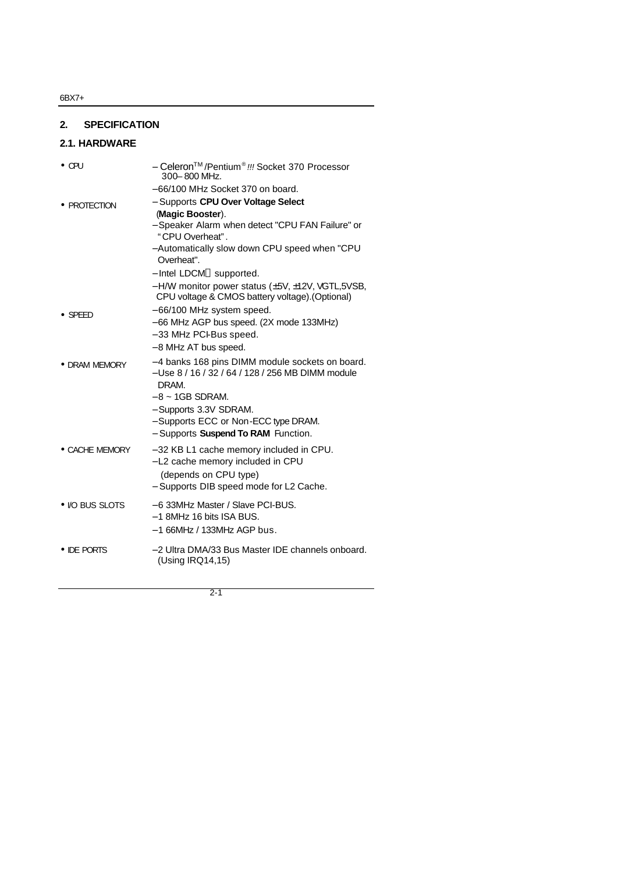# **2. SPECIFICATION**

## **2.1. HARDWARE**

| $\bullet$ CPU   | - Celeron <sup>™</sup> /Pentium <sup>®</sup> !!! Socket 370 Processor<br>300-800 MHz.                                                            |
|-----------------|--------------------------------------------------------------------------------------------------------------------------------------------------|
|                 | -66/100 MHz Socket 370 on board.                                                                                                                 |
| • PROTECTION    | - Supports CPU Over Voltage Select                                                                                                               |
|                 | (Magic Booster).                                                                                                                                 |
|                 | - Speaker Alarm when detect "CPU FAN Failure" or<br>"CPU Overheat".                                                                              |
|                 | - Automatically slow down CPU speed when "CPU<br>Overheat".                                                                                      |
|                 | - Intel LDCM <sup>®</sup> supported.                                                                                                             |
|                 | $-$ H/W monitor power status ( $\pm$ 5V, $\pm$ 12V, VGTL,5VSB,<br>CPU voltage & CMOS battery voltage).(Optional)                                 |
| $\bullet$ SPEED | $-66/100$ MHz system speed.                                                                                                                      |
|                 | -66 MHz AGP bus speed. (2X mode 133MHz)                                                                                                          |
|                 | -33 MHz PCI-Bus speed.                                                                                                                           |
|                 | -8 MHz AT bus speed.                                                                                                                             |
| • DRAM MEMORY   | -4 banks 168 pins DIMM module sockets on board.<br>- Use 8 / 16 / 32 / 64 / 128 / 256 MB DIMM module<br>DRAM.                                    |
|                 | $-8 \sim 1GB$ SDRAM.                                                                                                                             |
|                 | - Supports 3.3V SDRAM.                                                                                                                           |
|                 | - Supports ECC or Non-ECC type DRAM.                                                                                                             |
|                 | - Supports Suspend To RAM Function.                                                                                                              |
| • CACHE MEMORY  | -32 KB L1 cache memory included in CPU.<br>- L2 cache memory included in CPU<br>(depends on CPU type)<br>- Supports DIB speed mode for L2 Cache. |
| • I/O BUS SLOTS | -6 33MHz Master / Slave PCI-BUS.                                                                                                                 |
|                 | $-1$ 8MHz 16 bits ISA BUS.                                                                                                                       |
|                 | – 1 66MHz / 133MHz AGP bus.                                                                                                                      |
| • DE PORTS      | -2 Ultra DMA/33 Bus Master IDE channels onboard.<br>(Using IRQ14,15)                                                                             |
|                 |                                                                                                                                                  |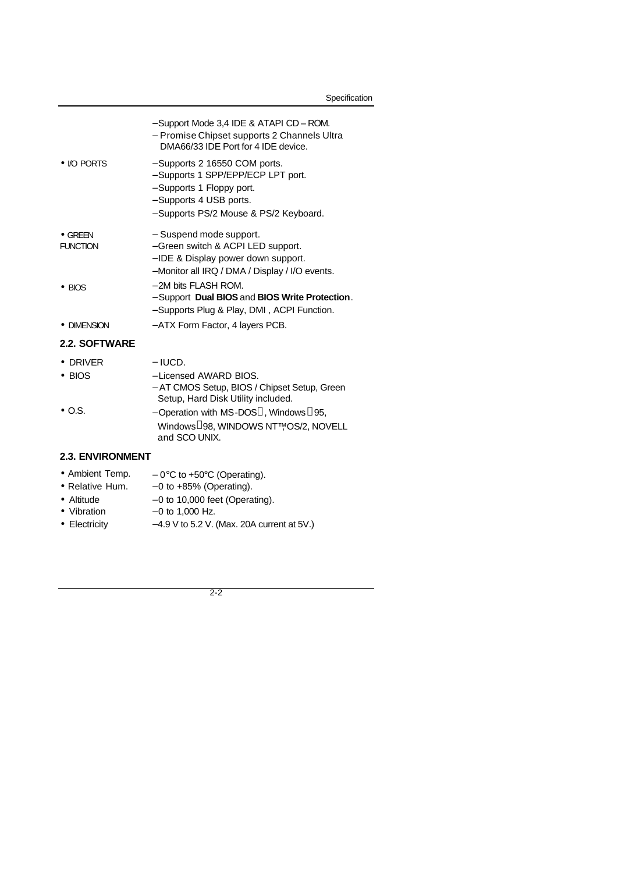|                                    | - Support Mode 3,4 IDE & ATAPI CD - ROM.<br>- Promise Chipset supports 2 Channels Ultra<br>DMA66/33 IDE Port for 4 IDE device.                                        |
|------------------------------------|-----------------------------------------------------------------------------------------------------------------------------------------------------------------------|
| • <i>IO PORTS</i>                  | - Supports 2 16550 COM ports.<br>- Supports 1 SPP/EPP/ECP LPT port.<br>- Supports 1 Floppy port.<br>- Supports 4 USB ports.<br>- Supports PS/2 Mouse & PS/2 Keyboard. |
| $\bullet$ GREEN<br><b>FUNCTION</b> | - Suspend mode support.<br>- Green switch & ACPI LED support.<br>- IDE & Display power down support.<br>- Monitor all IRQ / DMA / Display / I/O events.               |
| $\bullet$ BIOS                     | - 2M bits FLASH ROM.<br>- Support Dual BIOS and BIOS Write Protection.<br>- Supports Plug & Play, DMI, ACPI Function.                                                 |
| • DIMENSION                        | - ATX Form Factor, 4 layers PCB.                                                                                                                                      |
| <b>2.2. SOFTWARE</b>               |                                                                                                                                                                       |
| <b>DRIVER</b><br>$\bullet$ BIOS    | $-$ IUCD.<br>- Licensed AWARD BIOS.<br>- AT CMOS Setup, BIOS / Chipset Setup, Green<br>Setup, Hard Disk Utility included.                                             |
| $\bullet$ O.S.                     | - Operation with MS-DOS <sup>®</sup> , Windows <sup>®</sup> 95,<br>Windows ®98, WINDOWS NT <sup>TM</sup> OS/2, NOVELL<br>and SCO UNIX.                                |
| <b>2.3. ENVIRONMENT</b>            |                                                                                                                                                                       |
| • Ambient Temp.                    | $-$ 0°C to +50°C (Operating).                                                                                                                                         |

- 
- Relative Hum. − 0 to +85% (Operating).
- Altitude 0 to 10,000 feet (Operating).<br>• Vibration 0 to 1,000 Hz.
	- $-0$  to 1,000 Hz.
- Electricity − 4.9 V to 5.2 V. (Max. 20A current at 5V.)
- - 2-2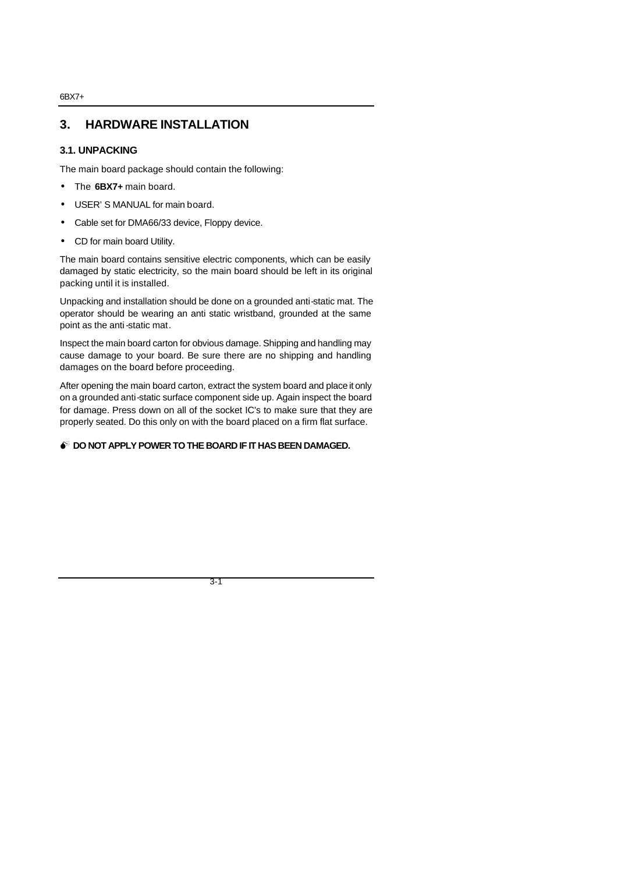# **3. HARDWARE INSTALLATION**

## **3.1. UNPACKING**

The main board package should contain the following:

- The **6BX7+** main board.
- USER'S MANUAL for main board.
- Cable set for DMA66/33 device, Floppy device.
- CD for main board Utility.

The main board contains sensitive electric components, which can be easily damaged by static electricity, so the main board should be left in its original packing until it is installed.

Unpacking and installation should be done on a grounded anti-static mat. The operator should be wearing an anti static wristband, grounded at the same point as the anti-static mat.

Inspect the main board carton for obvious damage. Shipping and handling may cause damage to your board. Be sure there are no shipping and handling damages on the board before proceeding.

After opening the main board carton, extract the system board and place it only on a grounded anti-static surface component side up. Again inspect the board for damage. Press down on all of the socket IC's to make sure that they are properly seated. Do this only on with the board placed on a firm flat surface.

#### $\bullet$ <sup>\*</sup> DO NOT APPLY POWER TO THE BOARD IF IT HAS BEEN DAMAGED.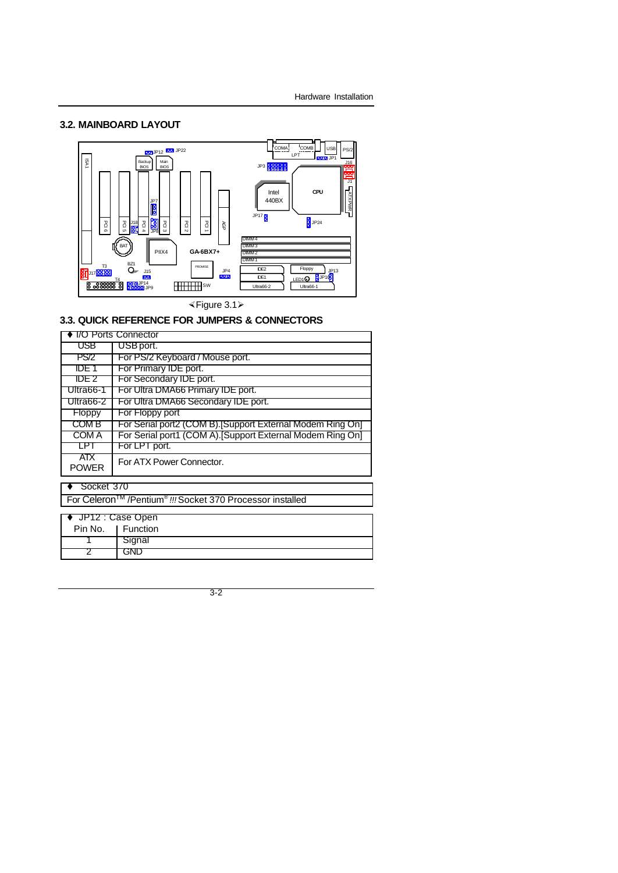## **3.2. MAINBOARD LAYOUT**

 $\overline{2}$  GND



×Figure 3.1ÿ

## **3.3. QUICK REFERENCE FOR JUMPERS & CONNECTORS**

| <b>T/O Ports Connector</b>                                                        |                                                           |  |  |  |  |  |
|-----------------------------------------------------------------------------------|-----------------------------------------------------------|--|--|--|--|--|
| USB                                                                               | USB port.                                                 |  |  |  |  |  |
| <b>PS/2</b>                                                                       | For PS/2 Keyboard / Mouse port.                           |  |  |  |  |  |
| IDE 1                                                                             | For Primary IDE port.                                     |  |  |  |  |  |
| IDE 2                                                                             | For Secondary IDE port.                                   |  |  |  |  |  |
| Ultra66-1                                                                         | For Ultra DMA66 Primary IDE port.                         |  |  |  |  |  |
| Ultra66-2                                                                         | For Ultra DMA66 Secondary IDE port.                       |  |  |  |  |  |
| Floppy                                                                            | For Floppy port                                           |  |  |  |  |  |
| COM B                                                                             | For Serial port2 (COM B). Support External Modem Ring On] |  |  |  |  |  |
| COM A                                                                             | For Serial port1 (COM A).[Support External Modem Ring On] |  |  |  |  |  |
| LPT                                                                               | For LPT port.                                             |  |  |  |  |  |
| <b>ATX</b><br><b>POWER</b>                                                        | For ATX Power Connector.                                  |  |  |  |  |  |
| Socket 370                                                                        |                                                           |  |  |  |  |  |
| For Celeron <sup>™</sup> /Pentium <sup>®</sup> !!! Socket 370 Processor installed |                                                           |  |  |  |  |  |
| JP12 : Case Open                                                                  |                                                           |  |  |  |  |  |
| <b>Function</b><br>Pin No.                                                        |                                                           |  |  |  |  |  |
|                                                                                   |                                                           |  |  |  |  |  |
|                                                                                   | Signal                                                    |  |  |  |  |  |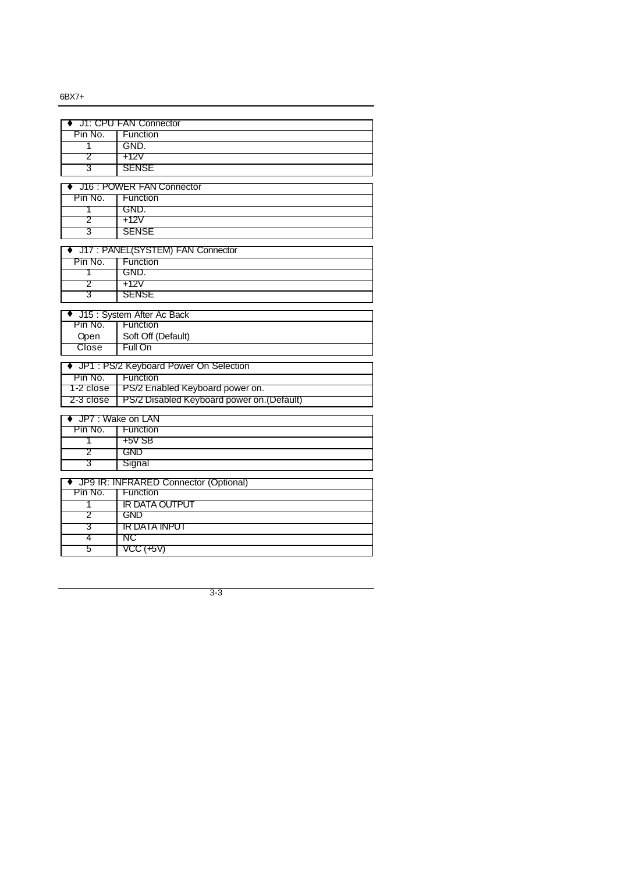|           | J1: CPU FAN Connector                      |
|-----------|--------------------------------------------|
| Pin No.   | Function                                   |
| 1         | GND.                                       |
| 2         | +12V                                       |
| 3         | <b>SENSE</b>                               |
|           |                                            |
|           | ♦ J16 : POWER FAN Connector                |
| Pin No.   | <b>Function</b>                            |
| Τ         | GND.                                       |
| 2         | +12V                                       |
| З         | <b>SENSE</b>                               |
|           | ♦ J17: PANEL(SYSTEM) FAN Connector         |
| Pin No.   | Function                                   |
| T         | GND.                                       |
| 2         | +12V                                       |
| 3         | <b>SENSE</b>                               |
|           |                                            |
|           | ◆ J15 : System After Ac Back               |
| Pin No.   | Function                                   |
| Open      | Soft Off (Default)                         |
| Close     | Full On                                    |
|           | ♦ JP1 : PS/2 Keyboard Power On Selection   |
| Pin No.   | Function                                   |
| 1-2 close | PS/2 Enabled Keyboard power on.            |
| 2-3 close | PS/2 Disabled Keyboard power on. (Default) |
|           |                                            |
|           | JP7: Wake on LAN                           |
| Pin No.   | Function                                   |
| T         | $+5V$ SB                                   |
| 2         | <b>GND</b>                                 |
| 3         | Signal                                     |
|           | ♦ JP9 IR: INFRARED Connector (Optional)    |
| Pin No.   | Function                                   |
| 1         | IR DATA OUTPUT                             |
| 2         | <b>GND</b>                                 |
| 3         | IR DATA INPUT                              |
| 4         | NC                                         |
| 5         | VCC (+5V)                                  |
|           |                                            |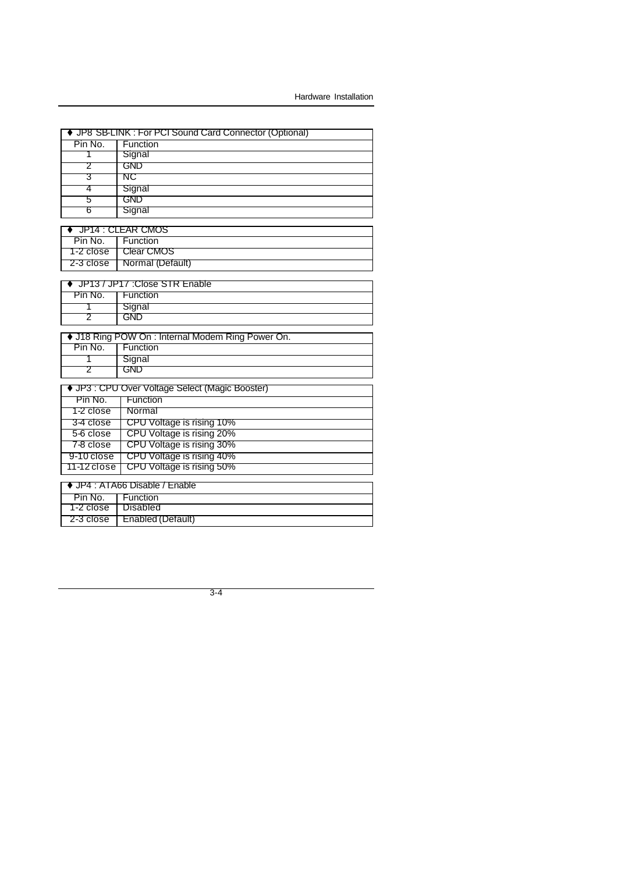|             | JP8 SB-LINK: For PCI Sound Card Connector (Optional) |
|-------------|------------------------------------------------------|
| Pin No.     | Function                                             |
| 1           | Signal                                               |
| 2           | <b>GND</b>                                           |
| З           | NC                                                   |
| 4           | Signal                                               |
| 5           | <b>GND</b>                                           |
| 6           | Signal                                               |
|             |                                                      |
| Pin No.     | JP14 : CLEAR CMOS<br>Function                        |
|             |                                                      |
| 1-2 close   | <b>Clear CMOS</b>                                    |
| 2-3 close   | Normal (Default)                                     |
|             | JP13 / JP17 : Close STR Enable                       |
| Pin No.     | Function                                             |
| 1           | Signal                                               |
| 2           | GND                                                  |
|             |                                                      |
|             | ♦ J18 Ring POW On : Internal Modem Ring Power On.    |
| Pin No.     | Function                                             |
| 1           | Signal                                               |
| 2           | <b>GND</b>                                           |
|             |                                                      |
|             | ♦ JP3 : CPU Over Voltage Select (Magic Booster)      |
| Pin No.     | Function                                             |
| 1-2 close   | Normal                                               |
| 3-4 close   | CPU Voltage is rising 10%                            |
| 5-6 close   | CPU Voltage is rising 20%                            |
| 7-8 close   | CPU Voltage is rising 30%                            |
| 9-10 close  | CPU Voltage is rising 40%                            |
| 11-12 close | CPU Voltage is rising 50%                            |
|             | ♦ JP4 : ATA66 Disable / Enable                       |
| Pin No.     | Function                                             |
| 1-2 close   | Disabled                                             |
| 2-3 close   | Enabled (Default)                                    |
|             |                                                      |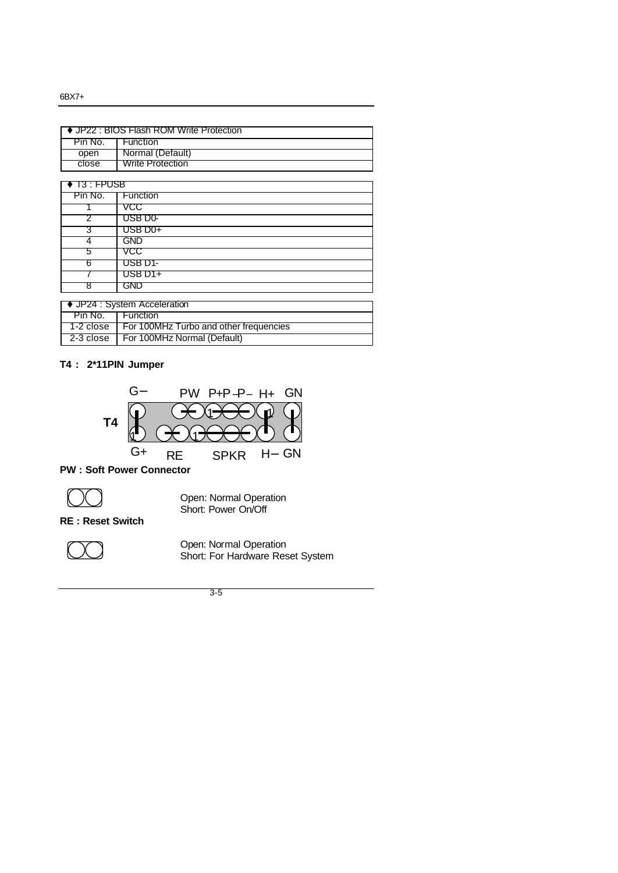| JP22 : BIOS Flash ROM Write Protection |                                        |  |  |  |  |
|----------------------------------------|----------------------------------------|--|--|--|--|
|                                        |                                        |  |  |  |  |
| Pin No.                                | <b>Function</b>                        |  |  |  |  |
| open                                   | Normal (Default)                       |  |  |  |  |
| close                                  | <b>Write Protection</b>                |  |  |  |  |
|                                        |                                        |  |  |  |  |
| $\blacklozenge$ 13 : FPUSB             |                                        |  |  |  |  |
| Pin No.                                | <b>Function</b>                        |  |  |  |  |
|                                        | VCC                                    |  |  |  |  |
| 2                                      | USB D0-                                |  |  |  |  |
| З                                      | USB D0+                                |  |  |  |  |
| 4                                      | <b>GND</b>                             |  |  |  |  |
| 5                                      | VCC                                    |  |  |  |  |
| 6                                      | USB D1-                                |  |  |  |  |
|                                        | USB D1+                                |  |  |  |  |
| 8                                      | GND                                    |  |  |  |  |
|                                        |                                        |  |  |  |  |
| ♦ JP24 : System Acceleration           |                                        |  |  |  |  |
| Pin No.                                | Function                               |  |  |  |  |
| 1-2 close                              | For 100MHz Turbo and other frequencies |  |  |  |  |
| 2-3 close                              | For 100MHz Normal (Default)            |  |  |  |  |

### **T4 : 2\*11PIN Jumper**



**PW : Soft Power Connector** 



Open: Normal Operation Short: Power On/Off

**RE : Reset Switch**



Open: Normal Operation Short: For Hardware Reset System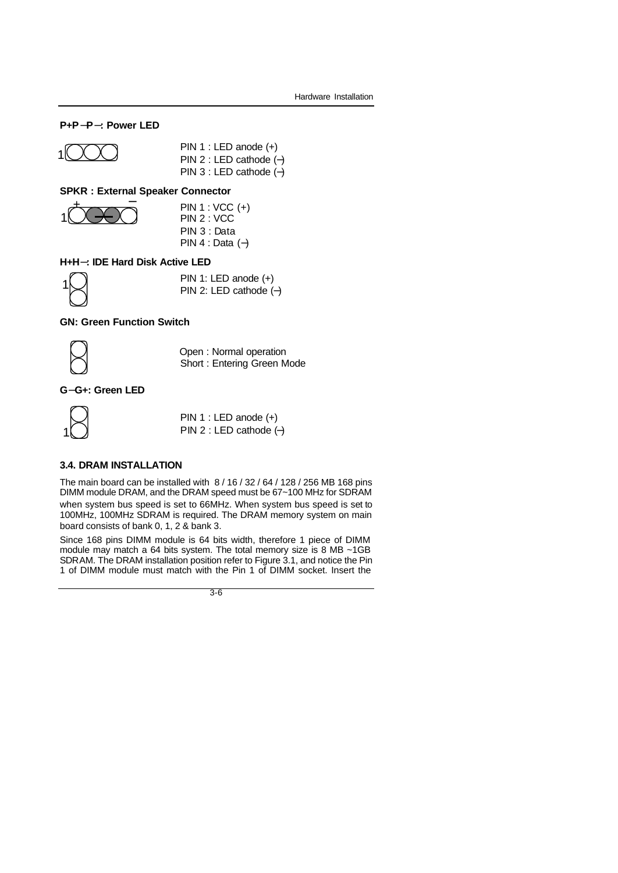#### **P+P-P-: Power LED**



PIN 1 : LED anode (+) PIN 2 : LED cathode (−) PIN 3 : LED cathode (−)

#### **SPKR : External Speaker Connector**



PIN 1 : VCC (+) PIN 2 : VCC PIN 3 : Data PIN 4 : Data (−)

#### **H+H-: IDE Hard Disk Active LED**

1

PIN 1: LED anode (+) PIN 2: LED cathode (−)

#### **GN: Green Function Switch**



Open : Normal operation Short : Entering Green Mode

#### **G-G+: Green LED**



PIN 1 : LED anode (+) PIN 2 : LED cathode (−)

#### **3.4. DRAM INSTALLATION**

The main board can be installed with 8 / 16 / 32 / 64 / 128 / 256 MB 168 pins DIMM module DRAM, and the DRAM speed must be 67~100 MHz for SDRAM when system bus speed is set to 66MHz. When system bus speed is set to 100MHz, 100MHz SDRAM is required. The DRAM memory system on main board consists of bank 0, 1, 2 & bank 3.

Since 168 pins DIMM module is 64 bits width, therefore 1 piece of DIMM module may match a 64 bits system. The total memory size is 8 MB ~1GB SDRAM. The DRAM installation position refer to Figure 3.1, and notice the Pin 1 of DIMM module must match with the Pin 1 of DIMM socket. Insert the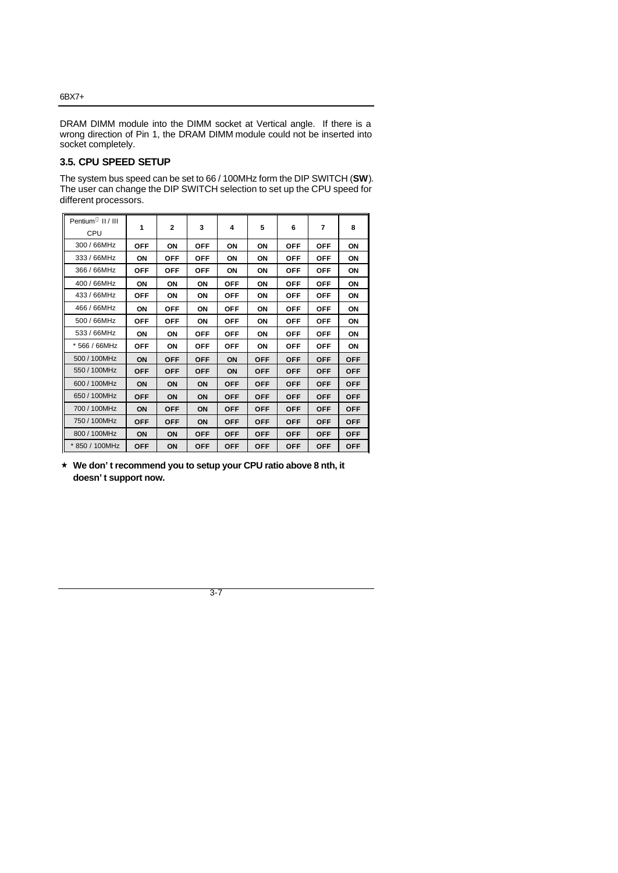DRAM DIMM module into the DIMM socket at Vertical angle. If there is a wrong direction of Pin 1, the DRAM DIMM module could not be inserted into socket completely.

## **3.5. CPU SPEED SETUP**

The system bus speed can be set to 66 / 100MHz form the DIP SWITCH (**SW**). The user can change the DIP SWITCH selection to set up the CPU speed for different processors.

| Pentium <sup>®</sup> II / III<br>CPU | 1          | $\mathbf{2}$ | 3          | 4          | 5          | 6          | $\overline{7}$ | 8          |
|--------------------------------------|------------|--------------|------------|------------|------------|------------|----------------|------------|
| 300 / 66MHz                          | <b>OFF</b> | ON           | <b>OFF</b> | ON         | ΟN         | <b>OFF</b> | <b>OFF</b>     | ON         |
| 333 / 66MHz                          | ON         | <b>OFF</b>   | <b>OFF</b> | ON         | ON         | <b>OFF</b> | <b>OFF</b>     | ON         |
| 366 / 66MHz                          | <b>OFF</b> | <b>OFF</b>   | <b>OFF</b> | ON         | ON         | <b>OFF</b> | <b>OFF</b>     | ON         |
| 400 / 66MHz                          | ON         | ON           | ON         | <b>OFF</b> | ON         | <b>OFF</b> | <b>OFF</b>     | ON         |
| 433 / 66MHz                          | <b>OFF</b> | ΟN           | ΟN         | <b>OFF</b> | ΟN         | <b>OFF</b> | <b>OFF</b>     | ΟN         |
| 466 / 66MHz                          | ON         | <b>OFF</b>   | ON         | <b>OFF</b> | ON         | <b>OFF</b> | <b>OFF</b>     | ON         |
| 500 / 66MHz                          | <b>OFF</b> | <b>OFF</b>   | ON         | <b>OFF</b> | ON         | <b>OFF</b> | <b>OFF</b>     | ON         |
| 533 / 66MHz                          | ON         | ON           | <b>OFF</b> | <b>OFF</b> | ON         | <b>OFF</b> | <b>OFF</b>     | ON         |
| * 566 / 66MHz                        | <b>OFF</b> | ON           | <b>OFF</b> | <b>OFF</b> | ON         | <b>OFF</b> | <b>OFF</b>     | ON         |
| 500 / 100MHz                         | ON         | <b>OFF</b>   | <b>OFF</b> | ON         | <b>OFF</b> | <b>OFF</b> | <b>OFF</b>     | <b>OFF</b> |
| 550 / 100MHz                         | <b>OFF</b> | <b>OFF</b>   | <b>OFF</b> | ON         | <b>OFF</b> | <b>OFF</b> | <b>OFF</b>     | <b>OFF</b> |
| 600 / 100MHz                         | ON         | ON           | ON         | <b>OFF</b> | <b>OFF</b> | <b>OFF</b> | <b>OFF</b>     | <b>OFF</b> |
| 650 / 100MHz                         | <b>OFF</b> | ON           | ON         | <b>OFF</b> | <b>OFF</b> | <b>OFF</b> | <b>OFF</b>     | <b>OFF</b> |
| 700 / 100MHz                         | ON         | <b>OFF</b>   | ON         | <b>OFF</b> | <b>OFF</b> | <b>OFF</b> | <b>OFF</b>     | <b>OFF</b> |
| 750 / 100MHz                         | <b>OFF</b> | <b>OFF</b>   | ON         | <b>OFF</b> | <b>OFF</b> | <b>OFF</b> | <b>OFF</b>     | <b>OFF</b> |
| 800 / 100MHz                         | ON         | ON           | <b>OFF</b> | <b>OFF</b> | <b>OFF</b> | <b>OFF</b> | <b>OFF</b>     | <b>OFF</b> |
| 850 / 100MHz                         | <b>OFF</b> | <b>ON</b>    | <b>OFF</b> | <b>OFF</b> | <b>OFF</b> | <b>OFF</b> | <b>OFF</b>     | <b>OFF</b> |

´ **We don't recommend you to setup your CPU ratio above 8 nth, it doesn't support now.**

3-7

#### 6BX7+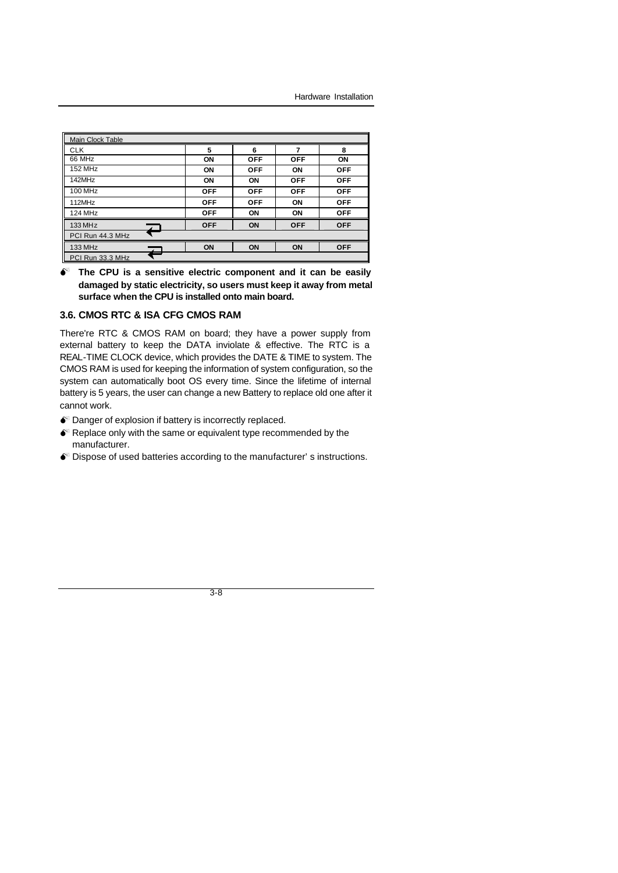| Main Clock Table |            |            |            |            |
|------------------|------------|------------|------------|------------|
| <b>CLK</b>       | 5          | 6          |            | 8          |
| 66 MHz           | ON         | <b>OFF</b> | <b>OFF</b> | ON         |
| <b>152 MHz</b>   | ON         | <b>OFF</b> | ON         | <b>OFF</b> |
| 142MHz           | ON         | ΟN         | <b>OFF</b> | <b>OFF</b> |
| 100 MHz          | <b>OFF</b> | <b>OFF</b> | <b>OFF</b> | <b>OFF</b> |
| 112MHz           | <b>OFF</b> | <b>OFF</b> | ON         | <b>OFF</b> |
| 124 MHz          | <b>OFF</b> | ON         | ON         | <b>OFF</b> |
| 133 MHz          | <b>OFF</b> | ON         | <b>OFF</b> | <b>OFF</b> |
| PCI Run 44.3 MHz |            |            |            |            |
| 133 MHz          | ON         | ON         | ON         | <b>OFF</b> |
| PCI Run 33.3 MHz |            |            |            |            |

 $\bullet$  The CPU is a sensitive electric component and it can be easily **damaged by static electricity, so users must keep it away from metal surface when the CPU is installed onto main board.**

#### **3.6. CMOS RTC & ISA CFG CMOS RAM**

There're RTC & CMOS RAM on board; they have a power supply from external battery to keep the DATA inviolate & effective. The RTC is a REAL-TIME CLOCK device, which provides the DATE & TIME to system. The CMOS RAM is used for keeping the information of system configuration, so the system can automatically boot OS every time. Since the lifetime of internal battery is 5 years, the user can change a new Battery to replace old one after it cannot work.

- $\bullet$  Danger of explosion if battery is incorrectly replaced.
- $\bullet$  Replace only with the same or equivalent type recommended by the manufacturer.
- $\bullet$  Dispose of used batteries according to the manufacturer's instructions.